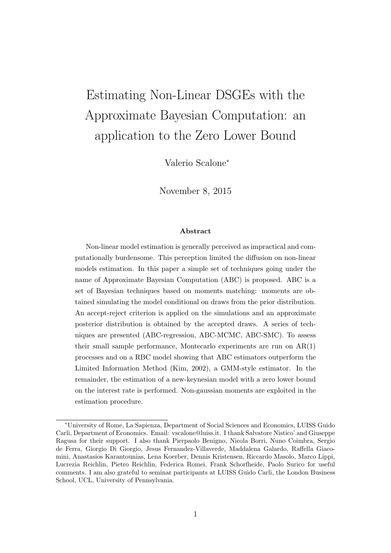# Estimating Non-Linear DSGEs with the Approximate Bayesian Computation: an application to the Zero Lower Bound

Valerio Scalone<sup>∗</sup>

November 8, 2015

#### Abstract

Non-linear model estimation is generally perceived as impractical and computationally burdensome. This perception limited the diffusion on non-linear models estimation. In this paper a simple set of techniques going under the name of Approximate Bayesian Computation (ABC) is proposed. ABC is a set of Bayesian techniques based on moments matching: moments are obtained simulating the model conditional on draws from the prior distribution. An accept-reject criterion is applied on the simulations and an approximate posterior distribution is obtained by the accepted draws. A series of techniques are presented (ABC-regression, ABC-MCMC, ABC-SMC). To assess their small sample performance, Montecarlo experiments are run on AR(1) processes and on a RBC model showing that ABC estimators outperform the Limited Information Method (Kim, 2002), a GMM-style estimator. In the remainder, the estimation of a new-keynesian model with a zero lower bound on the interest rate is performed. Non-gaussian moments are exploited in the estimation procedure.

<sup>∗</sup>University of Rome, La Sapienza, Department of Social Sciences and Economics, LUISS Guido Carli, Department of Economics. Email: vscalone@luiss.it. I thank Salvatore Nistico' and Giuseppe Ragusa for their support. I also thank Pierpaolo Benigno, Nicola Borri, Nuno Coimbra, Sergio de Ferra, Giorgio Di Giorgio, Jesus Fernandez-Villaverde, Maddalena Galardo, Raffella Giacomini, Anastasios Karantounias, Lena Koerber, Dennis Kristensen, Riccardo Masolo, Marco Lippi, Lucrezia Reichlin, Pietro Reichlin, Federica Romei, Frank Schorfheide, Paolo Surico for useful comments. I am also grateful to seminar participants at LUISS Guido Carli, the London Business School, UCL, University of Pennsylvania.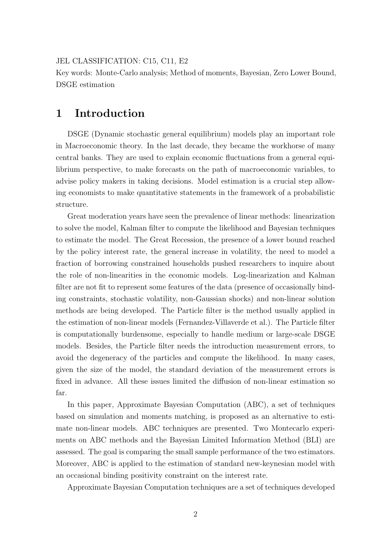#### JEL CLASSIFICATION: C15, C11, E2

Key words: Monte-Carlo analysis; Method of moments, Bayesian, Zero Lower Bound, DSGE estimation

## 1 Introduction

DSGE (Dynamic stochastic general equilibrium) models play an important role in Macroeconomic theory. In the last decade, they became the workhorse of many central banks. They are used to explain economic fluctuations from a general equilibrium perspective, to make forecasts on the path of macroeconomic variables, to advise policy makers in taking decisions. Model estimation is a crucial step allowing economists to make quantitative statements in the framework of a probabilistic structure.

Great moderation years have seen the prevalence of linear methods: linearization to solve the model, Kalman filter to compute the likelihood and Bayesian techniques to estimate the model. The Great Recession, the presence of a lower bound reached by the policy interest rate, the general increase in volatility, the need to model a fraction of borrowing constrained households pushed researchers to inquire about the role of non-linearities in the economic models. Log-linearization and Kalman filter are not fit to represent some features of the data (presence of occasionally binding constraints, stochastic volatility, non-Gaussian shocks) and non-linear solution methods are being developed. The Particle filter is the method usually applied in the estimation of non-linear models (Fernandez-Villaverde et al.). The Particle filter is computationally burdensome, especially to handle medium or large-scale DSGE models. Besides, the Particle filter needs the introduction measurement errors, to avoid the degeneracy of the particles and compute the likelihood. In many cases, given the size of the model, the standard deviation of the measurement errors is fixed in advance. All these issues limited the diffusion of non-linear estimation so far.

In this paper, Approximate Bayesian Computation (ABC), a set of techniques based on simulation and moments matching, is proposed as an alternative to estimate non-linear models. ABC techniques are presented. Two Montecarlo experiments on ABC methods and the Bayesian Limited Information Method (BLI) are assessed. The goal is comparing the small sample performance of the two estimators. Moreover, ABC is applied to the estimation of standard new-keynesian model with an occasional binding positivity constraint on the interest rate.

Approximate Bayesian Computation techniques are a set of techniques developed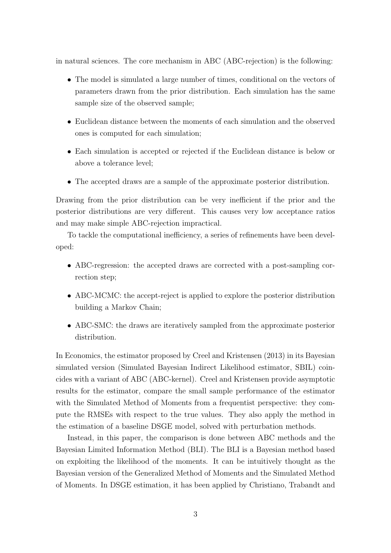in natural sciences. The core mechanism in ABC (ABC-rejection) is the following:

- The model is simulated a large number of times, conditional on the vectors of parameters drawn from the prior distribution. Each simulation has the same sample size of the observed sample;
- Euclidean distance between the moments of each simulation and the observed ones is computed for each simulation;
- Each simulation is accepted or rejected if the Euclidean distance is below or above a tolerance level;
- The accepted draws are a sample of the approximate posterior distribution.

Drawing from the prior distribution can be very inefficient if the prior and the posterior distributions are very different. This causes very low acceptance ratios and may make simple ABC-rejection impractical.

To tackle the computational inefficiency, a series of refinements have been developed:

- ABC-regression: the accepted draws are corrected with a post-sampling correction step;
- ABC-MCMC: the accept-reject is applied to explore the posterior distribution building a Markov Chain;
- ABC-SMC: the draws are iteratively sampled from the approximate posterior distribution.

In Economics, the estimator proposed by Creel and Kristensen (2013) in its Bayesian simulated version (Simulated Bayesian Indirect Likelihood estimator, SBIL) coincides with a variant of ABC (ABC-kernel). Creel and Kristensen provide asymptotic results for the estimator, compare the small sample performance of the estimator with the Simulated Method of Moments from a frequentist perspective: they compute the RMSEs with respect to the true values. They also apply the method in the estimation of a baseline DSGE model, solved with perturbation methods.

Instead, in this paper, the comparison is done between ABC methods and the Bayesian Limited Information Method (BLI). The BLI is a Bayesian method based on exploiting the likelihood of the moments. It can be intuitively thought as the Bayesian version of the Generalized Method of Moments and the Simulated Method of Moments. In DSGE estimation, it has been applied by Christiano, Trabandt and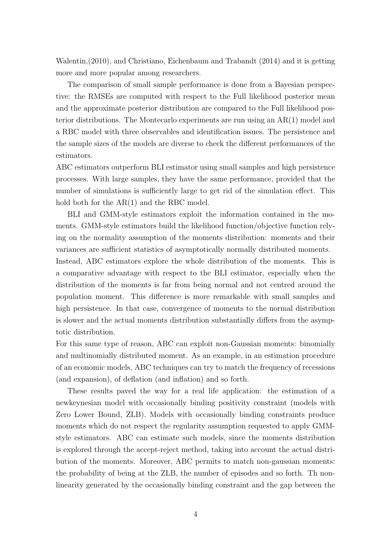Walentin,(2010), and Christiano, Eichenbaum and Trabandt (2014) and it is getting more and more popular among researchers.

The comparison of small sample performance is done from a Bayesian perspective: the RMSEs are computed with respect to the Full likelihood posterior mean and the approximate posterior distribution are compared to the Full likelihood posterior distributions. The Montecarlo experiments are run using an AR(1) model and a RBC model with three observables and identification issues. The persistence and the sample sizes of the models are diverse to check the different performances of the estimators.

ABC estimators outperform BLI estimator using small samples and high persistence processes. With large samples, they have the same performance, provided that the number of simulations is sufficiently large to get rid of the simulation effect. This hold both for the  $AR(1)$  and the RBC model.

BLI and GMM-style estimators exploit the information contained in the moments. GMM-style estimators build the likelihood function/objective function relying on the normality assumption of the moments distribution: moments and their variances are sufficient statistics of asymptotically normally distributed moments.

Instead, ABC estimators explore the whole distribution of the moments. This is a comparative advantage with respect to the BLI estimator, especially when the distribution of the moments is far from being normal and not centred around the population moment. This difference is more remarkable with small samples and high persistence. In that case, convergence of moments to the normal distribution is slower and the actual moments distribution substantially differs from the asymptotic distribution.

For this same type of reason, ABC can exploit non-Gaussian moments: binomially and multinomially distributed moment. As an example, in an estimation procedure of an economic models, ABC techniques can try to match the frequency of recessions (and expansion), of deflation (and inflation) and so forth.

These results paved the way for a real life application: the estimation of a newkeynesian model with occasionally binding positivity constraint (models with Zero Lower Bound, ZLB). Models with occasionally binding constraints produce moments which do not respect the regularity assumption requested to apply GMMstyle estimators. ABC can estimate such models, since the moments distribution is explored through the accept-reject method, taking into account the actual distribution of the moments. Moreover, ABC permits to match non-gaussian moments: the probability of being at the ZLB, the number of episodes and so forth. Th nonlinearity generated by the occasionally binding constraint and the gap between the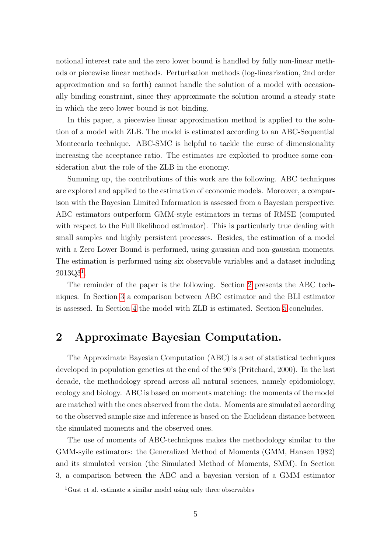notional interest rate and the zero lower bound is handled by fully non-linear methods or piecewise linear methods. Perturbation methods (log-linearization, 2nd order approximation and so forth) cannot handle the solution of a model with occasionally binding constraint, since they approximate the solution around a steady state in which the zero lower bound is not binding.

In this paper, a piecewise linear approximation method is applied to the solution of a model with ZLB. The model is estimated according to an ABC-Sequential Montecarlo technique. ABC-SMC is helpful to tackle the curse of dimensionality increasing the acceptance ratio. The estimates are exploited to produce some consideration abut the role of the ZLB in the economy.

Summing up, the contributions of this work are the following. ABC techniques are explored and applied to the estimation of economic models. Moreover, a comparison with the Bayesian Limited Information is assessed from a Bayesian perspective: ABC estimators outperform GMM-style estimators in terms of RMSE (computed with respect to the Full likelihood estimator). This is particularly true dealing with small samples and highly persistent processes. Besides, the estimation of a model with a Zero Lower Bound is performed, using gaussian and non-gaussian moments. The estimation is performed using six observable variables and a dataset including  $2013Q3^1$  $2013Q3^1$  $2013Q3^1$ .

The reminder of the paper is the following. Section [2](#page-4-1) presents the ABC techniques. In Section [3](#page-12-0) a comparison between ABC estimator and the BLI estimator is assessed. In Section [4](#page-19-0) the model with ZLB is estimated. Section [5](#page-27-0) concludes.

## <span id="page-4-1"></span>2 Approximate Bayesian Computation.

The Approximate Bayesian Computation (ABC) is a set of statistical techniques developed in population genetics at the end of the 90's (Pritchard, 2000). In the last decade, the methodology spread across all natural sciences, namely epidomiology, ecology and biology. ABC is based on moments matching: the moments of the model are matched with the ones observed from the data. Moments are simulated according to the observed sample size and inference is based on the Euclidean distance between the simulated moments and the observed ones.

The use of moments of ABC-techniques makes the methodology similar to the GMM-syile estimators: the Generalized Method of Moments (GMM, Hansen 1982) and its simulated version (the Simulated Method of Moments, SMM). In Section 3, a comparison between the ABC and a bayesian version of a GMM estimator

<span id="page-4-0"></span> ${}^{1}$ Gust et al. estimate a similar model using only three observables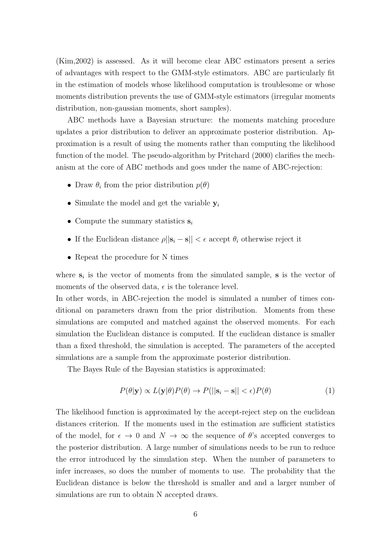(Kim,2002) is assessed. As it will become clear ABC estimators present a series of advantages with respect to the GMM-style estimators. ABC are particularly fit in the estimation of models whose likelihood computation is troublesome or whose moments distribution prevents the use of GMM-style estimators (irregular moments distribution, non-gaussian moments, short samples).

ABC methods have a Bayesian structure: the moments matching procedure updates a prior distribution to deliver an approximate posterior distribution. Approximation is a result of using the moments rather than computing the likelihood function of the model. The pseudo-algorithm by Pritchard (2000) clarifies the mechanism at the core of ABC methods and goes under the name of ABC-rejection:

- Draw  $\theta_i$  from the prior distribution  $p(\theta)$
- Simulate the model and get the variable  $y_i$
- Compute the summary statistics  $s_i$
- If the Euclidean distance  $\rho||\mathbf{s}_i \mathbf{s}|| < \epsilon$  accept  $\theta_i$  otherwise reject it
- Repeat the procedure for N times

where  $s_i$  is the vector of moments from the simulated sample, **s** is the vector of moments of the observed data,  $\epsilon$  is the tolerance level.

In other words, in ABC-rejection the model is simulated a number of times conditional on parameters drawn from the prior distribution. Moments from these simulations are computed and matched against the observed moments. For each simulation the Euclidean distance is computed. If the euclidean distance is smaller than a fixed threshold, the simulation is accepted. The parameters of the accepted simulations are a sample from the approximate posterior distribution.

The Bayes Rule of the Bayesian statistics is approximated:

$$
P(\theta|\mathbf{y}) \propto L(\mathbf{y}|\theta)P(\theta) \to P(||\mathbf{s}_i - \mathbf{s}|| < \epsilon)P(\theta)
$$
\n(1)

The likelihood function is approximated by the accept-reject step on the euclidean distances criterion. If the moments used in the estimation are sufficient statistics of the model, for  $\epsilon \to 0$  and  $N \to \infty$  the sequence of  $\theta$ 's accepted converges to the posterior distribution. A large number of simulations needs to be run to reduce the error introduced by the simulation step. When the number of parameters to infer increases, so does the number of moments to use. The probability that the Euclidean distance is below the threshold is smaller and and a larger number of simulations are run to obtain N accepted draws.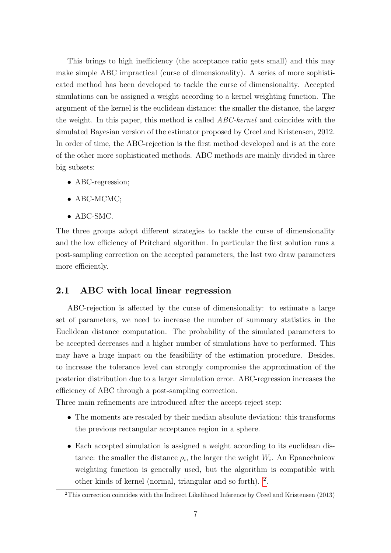This brings to high inefficiency (the acceptance ratio gets small) and this may make simple ABC impractical (curse of dimensionality). A series of more sophisticated method has been developed to tackle the curse of dimensionality. Accepted simulations can be assigned a weight according to a kernel weighting function. The argument of the kernel is the euclidean distance: the smaller the distance, the larger the weight. In this paper, this method is called ABC-kernel and coincides with the simulated Bayesian version of the estimator proposed by Creel and Kristensen, 2012. In order of time, the ABC-rejection is the first method developed and is at the core of the other more sophisticated methods. ABC methods are mainly divided in three big subsets:

- ABC-regression;
- ABC-MCMC:
- ABC-SMC.

The three groups adopt different strategies to tackle the curse of dimensionality and the low efficiency of Pritchard algorithm. In particular the first solution runs a post-sampling correction on the accepted parameters, the last two draw parameters more efficiently.

#### 2.1 ABC with local linear regression

ABC-rejection is affected by the curse of dimensionality: to estimate a large set of parameters, we need to increase the number of summary statistics in the Euclidean distance computation. The probability of the simulated parameters to be accepted decreases and a higher number of simulations have to performed. This may have a huge impact on the feasibility of the estimation procedure. Besides, to increase the tolerance level can strongly compromise the approximation of the posterior distribution due to a larger simulation error. ABC-regression increases the efficiency of ABC through a post-sampling correction.

Three main refinements are introduced after the accept-reject step:

- The moments are rescaled by their median absolute deviation: this transforms the previous rectangular acceptance region in a sphere.
- Each accepted simulation is assigned a weight according to its euclidean distance: the smaller the distance  $\rho_i$ , the larger the weight  $W_i$ . An Epanechnicov weighting function is generally used, but the algorithm is compatible with other kinds of kernel (normal, triangular and so forth). [2](#page-6-0) .

<span id="page-6-0"></span><sup>&</sup>lt;sup>2</sup>This correction coincides with the Indirect Likelihood Inference by Creel and Kristensen (2013)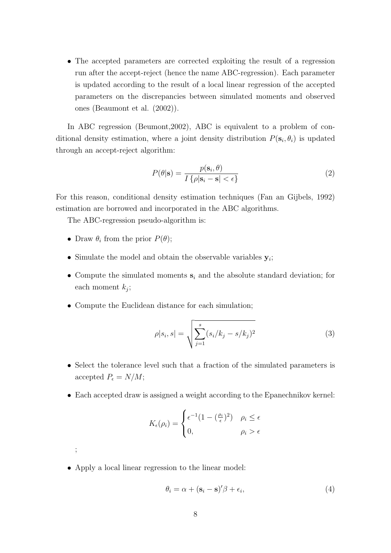• The accepted parameters are corrected exploiting the result of a regression run after the accept-reject (hence the name ABC-regression). Each parameter is updated according to the result of a local linear regression of the accepted parameters on the discrepancies between simulated moments and observed ones (Beaumont et al. (2002)).

In ABC regression (Beumont, 2002), ABC is equivalent to a problem of conditional density estimation, where a joint density distribution  $P(\mathbf{s}_i, \theta_i)$  is updated through an accept-reject algorithm:

$$
P(\theta|\mathbf{s}) = \frac{p(\mathbf{s}_i, \theta)}{I\{\rho|\mathbf{s}_i - \mathbf{s}| < \epsilon\}}\tag{2}
$$

For this reason, conditional density estimation techniques (Fan an Gijbels, 1992) estimation are borrowed and incorporated in the ABC algorithms.

The ABC-regression pseudo-algorithm is:

- Draw  $\theta_i$  from the prior  $P(\theta)$ ;
- Simulate the model and obtain the observable variables  $y_i$ ;
- Compute the simulated moments  $s_i$  and the absolute standard deviation; for each moment  $k_j$ ;
- Compute the Euclidean distance for each simulation;

$$
\rho|s_i, s| = \sqrt{\sum_{j=1}^s (s_i/k_j - s/k_j)^2}
$$
\n(3)

- Select the tolerance level such that a fraction of the simulated parameters is accepted  $P_{\epsilon} = N/M$ ;
- Each accepted draw is assigned a weight according to the Epanechnikov kernel:

$$
K_{\epsilon}(\rho_i) = \begin{cases} \epsilon^{-1}(1 - (\frac{\rho_i}{\epsilon})^2) & \rho_i \le \epsilon \\ 0, & \rho_i > \epsilon \end{cases}
$$

• Apply a local linear regression to the linear model:

;

$$
\theta_i = \alpha + (\mathbf{s}_i - \mathbf{s})'\beta + \epsilon_i,\tag{4}
$$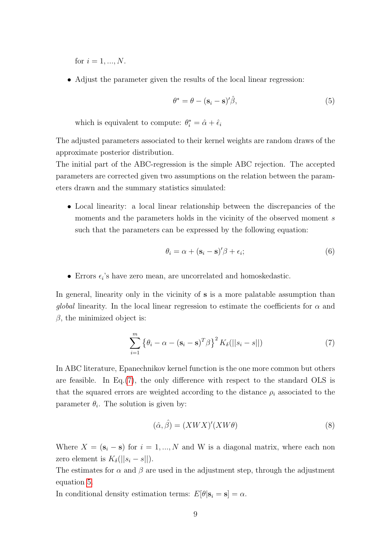for  $i = 1, ..., N$ .

• Adjust the parameter given the results of the local linear regression:

<span id="page-8-1"></span>
$$
\theta^* = \theta - (\mathbf{s}_i - \mathbf{s})' \hat{\beta},\tag{5}
$$

which is equivalent to compute:  $\theta_i^* = \hat{\alpha} + \hat{\epsilon}_i$ 

The adjusted parameters associated to their kernel weights are random draws of the approximate posterior distribution.

The initial part of the ABC-regression is the simple ABC rejection. The accepted parameters are corrected given two assumptions on the relation between the parameters drawn and the summary statistics simulated:

• Local linearity: a local linear relationship between the discrepancies of the moments and the parameters holds in the vicinity of the observed moment s such that the parameters can be expressed by the following equation:

$$
\theta_i = \alpha + (\mathbf{s}_i - \mathbf{s})'\beta + \epsilon_i; \tag{6}
$$

 $\bullet\,$  Errors  $\epsilon_i$  's have zero mean, are uncorrelated and homoskedastic.

In general, linearity only in the vicinity of **s** is a more palatable assumption than *global* linearity. In the local linear regression to estimate the coefficients for  $\alpha$  and  $\beta$ , the minimized object is:

<span id="page-8-0"></span>
$$
\sum_{i=1}^{m} \left\{ \theta_i - \alpha - (\mathbf{s}_i - \mathbf{s})^T \beta \right\}^2 K_{\delta}(||s_i - s||)
$$
 (7)

In ABC literature, Epanechnikov kernel function is the one more common but others are feasible. In Eq.[\(7\)](#page-8-0), the only difference with respect to the standard OLS is that the squared errors are weighted according to the distance  $\rho_i$  associated to the parameter  $\theta_i$ . The solution is given by:

$$
(\hat{\alpha}, \hat{\beta}) = (XWX)'(XW\theta)
$$
\n(8)

Where  $X = (\mathbf{s}_i - \mathbf{s})$  for  $i = 1, ..., N$  and W is a diagonal matrix, where each non zero element is  $K_{\delta}(||s_i - s||)$ .

The estimates for  $\alpha$  and  $\beta$  are used in the adjustment step, through the adjustment equation [5.](#page-8-1)

In conditional density estimation terms:  $E[\theta|\mathbf{s}_i = \mathbf{s}] = \alpha$ .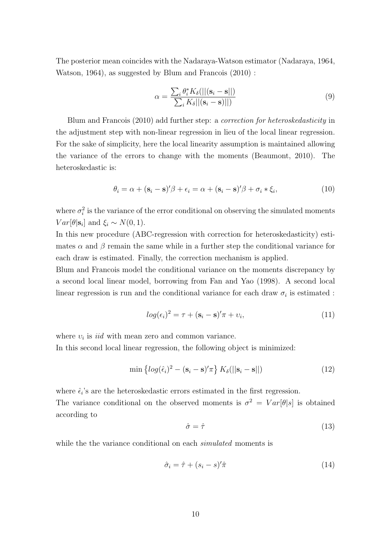The posterior mean coincides with the Nadaraya-Watson estimator (Nadaraya, 1964, Watson, 1964), as suggested by Blum and Francois (2010) :

$$
\alpha = \frac{\sum_{i} \theta_{i}^{*} K_{\delta}(||(\mathbf{s}_{i} - \mathbf{s}||))}{\sum_{i} K_{\delta} ||(\mathbf{s}_{i} - \mathbf{s})||}
$$
\n(9)

Blum and Francois (2010) add further step: a correction for heteroskedasticity in the adjustment step with non-linear regression in lieu of the local linear regression. For the sake of simplicity, here the local linearity assumption is maintained allowing the variance of the errors to change with the moments (Beaumont, 2010). The heteroskedastic is:

$$
\theta_i = \alpha + (\mathbf{s}_i - \mathbf{s})'\beta + \epsilon_i = \alpha + (\mathbf{s}_i - \mathbf{s})'\beta + \sigma_i * \xi_i,
$$
\n(10)

where  $\sigma_i^2$  is the variance of the error conditional on observing the simulated moments  $Var[\theta | \mathbf{s}_i]$  and  $\xi_i \sim N(0, 1)$ .

In this new procedure (ABC-regression with correction for heteroskedasticity) estimates  $\alpha$  and  $\beta$  remain the same while in a further step the conditional variance for each draw is estimated. Finally, the correction mechanism is applied.

Blum and Francois model the conditional variance on the moments discrepancy by a second local linear model, borrowing from Fan and Yao (1998). A second local linear regression is run and the conditional variance for each draw  $\sigma_i$  is estimated :

$$
log(\epsilon_i)^2 = \tau + (\mathbf{s}_i - \mathbf{s})'\pi + \nu_i,\tag{11}
$$

where  $v_i$  is *iid* with mean zero and common variance.

In this second local linear regression, the following object is minimized:

$$
\min \left\{ \log(\hat{\epsilon}_i)^2 - (\mathbf{s}_i - \mathbf{s})'\pi \right\} K_\delta(||\mathbf{s}_i - \mathbf{s}||) \tag{12}
$$

where  $\hat{\epsilon}_i$ 's are the heteroskedastic errors estimated in the first regression. The variance conditional on the observed moments is  $\sigma^2 = Var[\theta|s]$  is obtained according to

$$
\hat{\sigma} = \hat{\tau} \tag{13}
$$

while the the variance conditional on each *simulated* moments is

<span id="page-9-0"></span>
$$
\hat{\sigma}_i = \hat{\tau} + (s_i - s)'\hat{\pi}
$$
\n(14)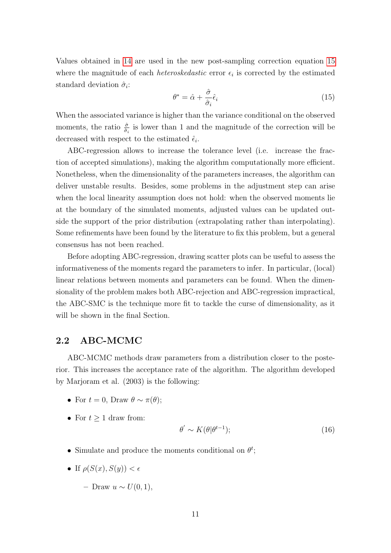Values obtained in [14](#page-9-0) are used in the new post-sampling correction equation [15](#page-10-0) where the magnitude of each *heteroskedastic* error  $\epsilon_i$  is corrected by the estimated standard deviation  $\hat{\sigma}_i$ :

<span id="page-10-0"></span>
$$
\theta^* = \hat{\alpha} + \frac{\hat{\sigma}}{\hat{\sigma}_i} \hat{\epsilon}_i \tag{15}
$$

When the associated variance is higher than the variance conditional on the observed moments, the ratio  $\frac{\partial}{\partial i}$  is lower than 1 and the magnitude of the correction will be decreased with respect to the estimated  $\hat{\epsilon}_i$ .

ABC-regression allows to increase the tolerance level (i.e. increase the fraction of accepted simulations), making the algorithm computationally more efficient. Nonetheless, when the dimensionality of the parameters increases, the algorithm can deliver unstable results. Besides, some problems in the adjustment step can arise when the local linearity assumption does not hold: when the observed moments lie at the boundary of the simulated moments, adjusted values can be updated outside the support of the prior distribution (extrapolating rather than interpolating). Some refinements have been found by the literature to fix this problem, but a general consensus has not been reached.

Before adopting ABC-regression, drawing scatter plots can be useful to assess the informativeness of the moments regard the parameters to infer. In particular, (local) linear relations between moments and parameters can be found. When the dimensionality of the problem makes both ABC-rejection and ABC-regression impractical, the ABC-SMC is the technique more fit to tackle the curse of dimensionality, as it will be shown in the final Section.

#### 2.2 ABC-MCMC

ABC-MCMC methods draw parameters from a distribution closer to the posterior. This increases the acceptance rate of the algorithm. The algorithm developed by Marjoram et al. (2003) is the following:

- For  $t = 0$ , Draw  $\theta \sim \pi(\theta)$ ;
- For  $t \geq 1$  draw from:

$$
\theta' \sim K(\theta|\theta^{t-1});\tag{16}
$$

- Simulate and produce the moments conditional on  $\theta^t$ ;
- If  $\rho(S(x), S(y)) < \epsilon$ 
	- Draw u ∼ U(0, 1),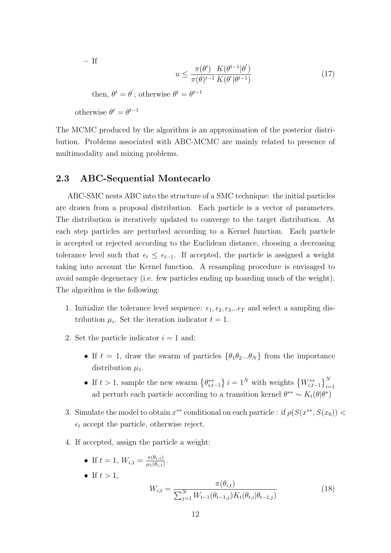– If

$$
u \le \frac{\pi(\theta')}{\pi(\theta)^{t-1}} \frac{K(\theta^{t-1}|\theta')}{K(\theta'|\theta^{t-1})}
$$
(17)

then,  $\theta^t = \theta'$ ; otherwise  $\theta^t = \theta^{t-1}$ 

otherwise  $\theta^t = \theta^{t-1}$ 

The MCMC produced by the algorithm is an approximation of the posterior distribution. Problems associated with ABC-MCMC are mainly related to presence of multimodality and mixing problems.

#### 2.3 ABC-Sequential Montecarlo

ABC-SMC nests ABC into the structure of a SMC technique: the initial particles are drawn from a proposal distribution. Each particle is a vector of parameters. The distribution is iteratively updated to converge to the target distribution. At each step particles are perturbed according to a Kernel function. Each particle is accepted or rejected according to the Euclidean distance, choosing a decreasing tolerance level such that  $\epsilon_t \leq \epsilon_{t-1}$ . If accepted, the particle is assigned a weight taking into account the Kernel function. A resampling procedure is envisaged to avoid sample degeneracy (i.e. few particles ending up hoarding much of the weight). The algorithm is the following:

- 1. Initialize the tolerance level sequence:  $\epsilon_1, \epsilon_2, \epsilon_3...\epsilon_T$  and select a sampling distribution  $\mu_i$ . Set the iteration indicator  $t = 1$ .
- 2. Set the particle indicator  $i = 1$  and:
	- If  $t = 1$ , draw the swarm of particles  $\{\theta_1\theta_2...\theta_N\}$  from the importance distribution  $\mu_1$ .
	- If  $t > 1$ , sample the new swarm  $\{\theta_{i,t-1}^{**}\}\,i = 1^N$  with weights  $\{W_{i,t-1}^{**}\}_{i=1}^N$ ad perturb each particle according to a transition kernel  $\theta^{**} \sim K_t(\theta|\theta^*)$
- 3. Simulate the model to obtain  $x^{**}$  conditional on each particle : if  $\rho(S(x^{**}, S(x_0))$  <  $\epsilon_t$  accept the particle, otherwise reject.
- 4. If accepted, assign the particle a weight:

• If 
$$
t = 1
$$
,  $W_{i,1} = \frac{\pi(\theta_{i,1})}{\mu_1(\theta_{i,1})}$ .

• If 
$$
t > 1
$$
,  
\n
$$
W_{i,t} = \frac{\pi(\theta_{i,t})}{\sum_{j=1}^{N} W_{t-1}(\theta_{t-1,j}) K_t(\theta_{t,i} | \theta_{t-1,j})}
$$
\n(18)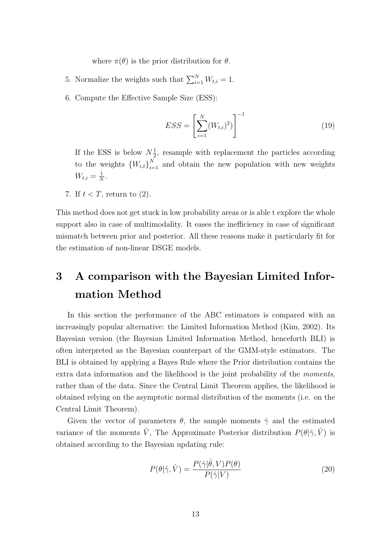where  $\pi(\theta)$  is the prior distribution for  $\theta$ .

- 5. Normalize the weights such that  $\sum_{i=1}^{N} W_{t,i} = 1$ .
- 6. Compute the Effective Sample Size (ESS):

$$
ESS = \left[\sum_{i=1}^{N} (W_{t,i})^2)\right]^{-1}
$$
 (19)

If the ESS is below  $N_{\frac{1}{2}}$  $\frac{1}{2}$ , resample with replacement the particles according to the weights  ${W_{i,t}}_{i=1}^N$  and obtain the new population with new weights  $W_{t,i} = \frac{1}{N}$  $\frac{1}{N}$ .

7. If  $t < T$ , return to (2).

This method does not get stuck in low probability areas or is able t explore the whole support also in case of multimodality. It eases the inefficiency in case of significant mismatch between prior and posterior. All these reasons make it particularly fit for the estimation of non-linear DSGE models.

## <span id="page-12-0"></span>3 A comparison with the Bayesian Limited Information Method

In this section the performance of the ABC estimators is compared with an increasingly popular alternative: the Limited Information Method (Kim, 2002). Its Bayesian version (the Bayesian Limited Information Method, henceforth BLI) is often interpreted as the Bayesian counterpart of the GMM-style estimators. The BLI is obtained by applying a Bayes Rule where the Prior distribution contains the extra data information and the likelihood is the joint probability of the *moments*, rather than of the data. Since the Central Limit Theorem applies, the likelihood is obtained relying on the asymptotic normal distribution of the moments (i.e. on the Central Limit Theorem).

Given the vector of parameters  $\theta$ , the sample moments  $\hat{\gamma}$  and the estimated variance of the moments  $\hat{V}$ , The Approximate Posterior distribution  $P(\theta|\hat{\gamma}, \hat{V})$  is obtained according to the Bayesian updating rule:

$$
P(\theta|\hat{\gamma}, \hat{V}) = \frac{P(\hat{\gamma}|\hat{\theta}, V)P(\theta)}{P(\hat{\gamma}|V)}\tag{20}
$$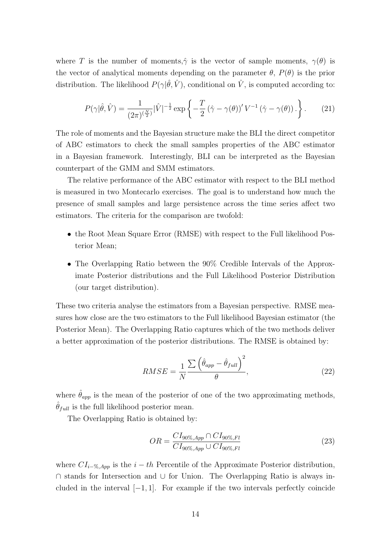where T is the number of moments, $\hat{\gamma}$  is the vector of sample moments,  $\gamma(\theta)$  is the vector of analytical moments depending on the parameter  $\theta$ ,  $P(\theta)$  is the prior distribution. The likelihood  $P(\gamma|\hat{\theta}, \hat{V})$ , conditional on  $\hat{V}$ , is computed according to:

$$
P(\gamma|\hat{\theta},\hat{V}) = \frac{1}{(2\pi)^{(\frac{N}{2})}}|\hat{V}|^{-\frac{1}{2}}\exp\left\{-\frac{T}{2}(\hat{\gamma}-\gamma(\theta))'V^{-1}(\hat{\gamma}-\gamma(\theta))\right\}.
$$
 (21)

The role of moments and the Bayesian structure make the BLI the direct competitor of ABC estimators to check the small samples properties of the ABC estimator in a Bayesian framework. Interestingly, BLI can be interpreted as the Bayesian counterpart of the GMM and SMM estimators.

The relative performance of the ABC estimator with respect to the BLI method is measured in two Montecarlo exercises. The goal is to understand how much the presence of small samples and large persistence across the time series affect two estimators. The criteria for the comparison are twofold:

- the Root Mean Square Error (RMSE) with respect to the Full likelihood Posterior Mean;
- The Overlapping Ratio between the 90% Credible Intervals of the Approximate Posterior distributions and the Full Likelihood Posterior Distribution (our target distribution).

These two criteria analyse the estimators from a Bayesian perspective. RMSE measures how close are the two estimators to the Full likelihood Bayesian estimator (the Posterior Mean). The Overlapping Ratio captures which of the two methods deliver a better approximation of the posterior distributions. The RMSE is obtained by:

$$
RMSE = \frac{1}{N} \frac{\sum (\hat{\theta}_{app} - \hat{\theta}_{full})^2}{\theta},
$$
\n(22)

where  $\hat{\theta}_{app}$  is the mean of the posterior of one of the two approximating methods,  $\theta_{full}$  is the full likelihood posterior mean.

The Overlapping Ratio is obtained by:

$$
OR = \frac{CI_{90\%, App} \cap CI_{90\%, Fl}}{CI_{90\%, App} \cup CI_{90\%, Fl}}
$$
(23)

where  $CI_{i-\%, App}$  is the  $i-th$  Percentile of the Approximate Posterior distribution, ∩ stands for Intersection and ∪ for Union. The Overlapping Ratio is always included in the interval  $[-1, 1]$ . For example if the two intervals perfectly coincide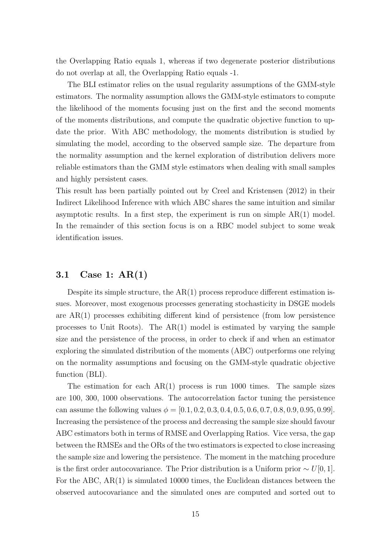the Overlapping Ratio equals 1, whereas if two degenerate posterior distributions do not overlap at all, the Overlapping Ratio equals -1.

The BLI estimator relies on the usual regularity assumptions of the GMM-style estimators. The normality assumption allows the GMM-style estimators to compute the likelihood of the moments focusing just on the first and the second moments of the moments distributions, and compute the quadratic objective function to update the prior. With ABC methodology, the moments distribution is studied by simulating the model, according to the observed sample size. The departure from the normality assumption and the kernel exploration of distribution delivers more reliable estimators than the GMM style estimators when dealing with small samples and highly persistent cases.

This result has been partially pointed out by Creel and Kristensen (2012) in their Indirect Likelihood Inference with which ABC shares the same intuition and similar asymptotic results. In a first step, the experiment is run on simple  $AR(1)$  model. In the remainder of this section focus is on a RBC model subject to some weak identification issues.

#### 3.1 Case 1: AR(1)

Despite its simple structure, the  $AR(1)$  process reproduce different estimation issues. Moreover, most exogenous processes generating stochasticity in DSGE models are AR(1) processes exhibiting different kind of persistence (from low persistence processes to Unit Roots). The AR(1) model is estimated by varying the sample size and the persistence of the process, in order to check if and when an estimator exploring the simulated distribution of the moments (ABC) outperforms one relying on the normality assumptions and focusing on the GMM-style quadratic objective function (BLI).

The estimation for each  $AR(1)$  process is run 1000 times. The sample sizes are 100, 300, 1000 observations. The autocorrelation factor tuning the persistence can assume the following values  $\phi = [0.1, 0.2, 0.3, 0.4, 0.5, 0.6, 0.7, 0.8, 0.9, 0.95, 0.99]$ . Increasing the persistence of the process and decreasing the sample size should favour ABC estimators both in terms of RMSE and Overlapping Ratios. Vice versa, the gap between the RMSEs and the ORs of the two estimators is expected to close increasing the sample size and lowering the persistence. The moment in the matching procedure is the first order autocovariance. The Prior distribution is a Uniform prior  $\sim U[0, 1]$ . For the ABC, AR(1) is simulated 10000 times, the Euclidean distances between the observed autocovariance and the simulated ones are computed and sorted out to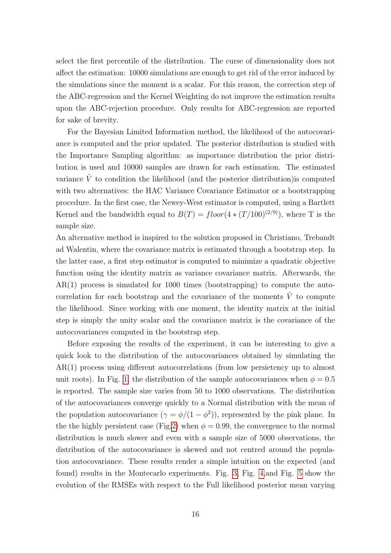select the first percentile of the distribution. The curse of dimensionality does not affect the estimation: 10000 simulations are enough to get rid of the error induced by the simulations since the moment is a scalar. For this reason, the correction step of the ABC-regression and the Kernel Weighting do not improve the estimation results upon the ABC-rejection procedure. Only results for ABC-regression are reported for sake of brevity.

For the Bayesian Limited Information method, the likelihood of the autocovariance is computed and the prior updated. The posterior distribution is studied with the Importance Sampling algorithm: as importance distribution the prior distribution is used and 10000 samples are drawn for each estimation. The estimated variance  $\hat{V}$  to condition the likelihood (and the posterior distribution) is computed with two alternatives: the HAC Variance Covariance Estimator or a bootstrapping procedure. In the first case, the Newey-West estimator is computed, using a Bartlett Kernel and the bandwidth equal to  $B(T) = floor(4 * (T/100)^{(2/9)})$ , where T is the sample size.

An alternative method is inspired to the solution proposed in Christiano, Trebandt ad Walentin, where the covariance matrix is estimated through a bootstrap step. In the latter case, a first step estimator is computed to minimize a quadratic objective function using the identity matrix as variance covariance matrix. Afterwards, the AR(1) process is simulated for 1000 times (bootstrapping) to compute the autocorrelation for each bootstrap and the covariance of the moments  $\hat{V}$  to compute the likelihood. Since working with one moment, the identity matrix at the initial step is simply the unity scalar and the covariance matrix is the covariance of the autocovariances computed in the bootstrap step.

Before exposing the results of the experiment, it can be interesting to give a quick look to the distribution of the autocovariances obtained by simulating the AR(1) process using different autocorrelations (from low persietency up to almost unit roots). In Fig. [1,](#page-41-0) the distribution of the sample autocovariances when  $\phi = 0.5$ is reported. The sample size varies from 50 to 1000 observations. The distribution of the autocovariances converge quickly to a Normal distribution with the mean of the population autocovariance  $(\gamma = \phi/(1 - \phi^2))$ , represented by the pink plane. In the the highly persistent case (Fig[.2\)](#page-41-1) when  $\phi = 0.99$ , the convergence to the normal distribution is much slower and even with a sample size of 5000 observations, the distribution of the autocovariance is skewed and not centred around the population autocovariance. These results render a simple intuition on the expected (and found) results in the Montecarlo experiments. Fig. [3,](#page-42-0) Fig. [4,](#page-42-1)and Fig. [5](#page-43-0) show the evolution of the RMSEs with respect to the Full likelihood posterior mean varying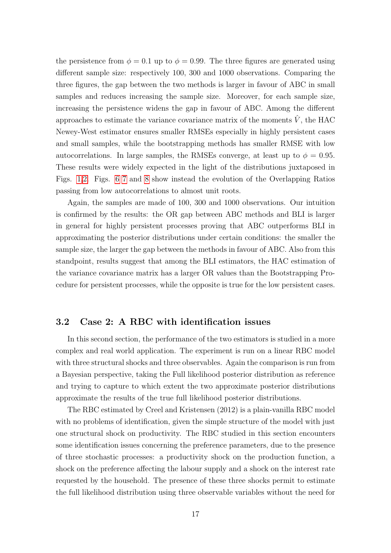the persistence from  $\phi = 0.1$  up to  $\phi = 0.99$ . The three figures are generated using different sample size: respectively 100, 300 and 1000 observations. Comparing the three figures, the gap between the two methods is larger in favour of ABC in small samples and reduces increasing the sample size. Moreover, for each sample size, increasing the persistence widens the gap in favour of ABC. Among the different approaches to estimate the variance covariance matrix of the moments  $\hat{V}$ , the HAC Newey-West estimator ensures smaller RMSEs especially in highly persistent cases and small samples, while the bootstrapping methods has smaller RMSE with low autocorrelations. In large samples, the RMSEs converge, at least up to  $\phi = 0.95$ . These results were widely expected in the light of the distributions juxtaposed in Figs. [1,](#page-41-0)[2.](#page-41-1) Figs. [6](#page-44-0) [7](#page-44-1) and [8](#page-45-0) show instead the evolution of the Overlapping Ratios passing from low autocorrelations to almost unit roots.

Again, the samples are made of 100, 300 and 1000 observations. Our intuition is confirmed by the results: the OR gap between ABC methods and BLI is larger in general for highly persistent processes proving that ABC outperforms BLI in approximating the posterior distributions under certain conditions: the smaller the sample size, the larger the gap between the methods in favour of ABC. Also from this standpoint, results suggest that among the BLI estimators, the HAC estimation of the variance covariance matrix has a larger OR values than the Bootstrapping Procedure for persistent processes, while the opposite is true for the low persistent cases.

#### 3.2 Case 2: A RBC with identification issues

In this second section, the performance of the two estimators is studied in a more complex and real world application. The experiment is run on a linear RBC model with three structural shocks and three observables. Again the comparison is run from a Bayesian perspective, taking the Full likelihood posterior distribution as reference and trying to capture to which extent the two approximate posterior distributions approximate the results of the true full likelihood posterior distributions.

The RBC estimated by Creel and Kristensen (2012) is a plain-vanilla RBC model with no problems of identification, given the simple structure of the model with just one structural shock on productivity. The RBC studied in this section encounters some identification issues concerning the preference parameters, due to the presence of three stochastic processes: a productivity shock on the production function, a shock on the preference affecting the labour supply and a shock on the interest rate requested by the household. The presence of these three shocks permit to estimate the full likelihood distribution using three observable variables without the need for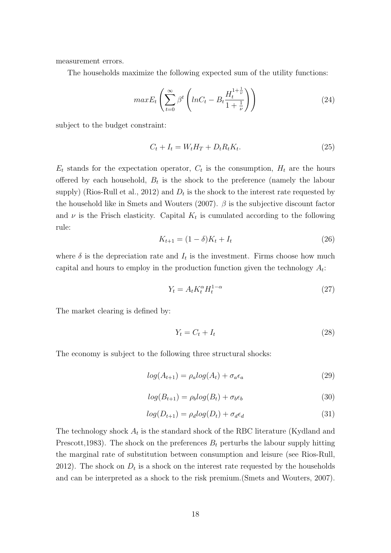measurement errors.

The households maximize the following expected sum of the utility functions:

$$
maxE_t\left(\sum_{t=0}^{\infty} \beta^t \left(lnC_t - B_t \frac{H_t^{1+\frac{1}{\nu}}}{1+\frac{1}{\nu}}\right)\right) \tag{24}
$$

subject to the budget constraint:

$$
C_t + I_t = W_t H_T + D_t R_t K_t. \tag{25}
$$

 $E_t$  stands for the expectation operator,  $C_t$  is the consumption,  $H_t$  are the hours offered by each household,  $B_t$  is the shock to the preference (namely the labour supply) (Rios-Rull et al., 2012) and  $D_t$  is the shock to the interest rate requested by the household like in Smets and Wouters (2007).  $\beta$  is the subjective discount factor and  $\nu$  is the Frisch elasticity. Capital  $K_t$  is cumulated according to the following rule:

$$
K_{t+1} = (1 - \delta)K_t + I_t \tag{26}
$$

where  $\delta$  is the depreciation rate and  $I_t$  is the investment. Firms choose how much capital and hours to employ in the production function given the technology  $A_t$ :

$$
Y_t = A_t K_t^{\alpha} H_t^{1-\alpha} \tag{27}
$$

The market clearing is defined by:

$$
Y_t = C_t + I_t \tag{28}
$$

The economy is subject to the following three structural shocks:

$$
log(A_{t+1}) = \rho_a log(A_t) + \sigma_a \epsilon_a \tag{29}
$$

$$
log(B_{t+1}) = \rho_b log(B_t) + \sigma_b \epsilon_b \tag{30}
$$

$$
log(D_{t+1}) = \rho_d log(D_t) + \sigma_d \epsilon_d \tag{31}
$$

The technology shock  $A_t$  is the standard shock of the RBC literature (Kydland and Prescott, 1983). The shock on the preferences  $B_t$  perturbs the labour supply hitting the marginal rate of substitution between consumption and leisure (see Rios-Rull, 2012). The shock on  $D_t$  is a shock on the interest rate requested by the households and can be interpreted as a shock to the risk premium.(Smets and Wouters, 2007).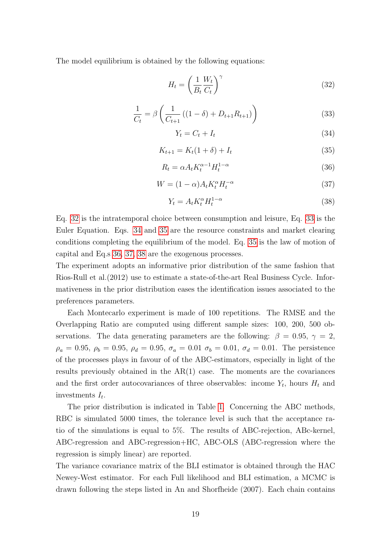The model equilibrium is obtained by the following equations:

<span id="page-18-0"></span>
$$
H_t = \left(\frac{1}{B_t} \frac{W_t}{C_t}\right)^{\gamma} \tag{32}
$$

<span id="page-18-1"></span>
$$
\frac{1}{C_t} = \beta \left( \frac{1}{C_{t+1}} \left( (1 - \delta) + D_{t+1} R_{t+1} \right) \right)
$$
(33)

<span id="page-18-2"></span>
$$
Y_t = C_t + I_t \tag{34}
$$

<span id="page-18-3"></span>
$$
K_{t+1} = K_t(1+\delta) + I_t
$$
\n(35)

<span id="page-18-4"></span>
$$
R_t = \alpha A_t K_t^{\alpha - 1} H_t^{1 - \alpha}
$$
\n(36)

<span id="page-18-5"></span>
$$
W = (1 - \alpha)A_t K_t^{\alpha} H_t^{-\alpha}
$$
\n(37)

<span id="page-18-6"></span>
$$
Y_t = A_t K_t^{\alpha} H_t^{1-\alpha} \tag{38}
$$

Eq. [32](#page-18-0) is the intratemporal choice between consumption and leisure, Eq. [33](#page-18-1) is the Euler Equation. Eqs. [34](#page-18-2) and [35](#page-18-3) are the resource constraints and market clearing conditions completing the equilibrium of the model. Eq. [35](#page-18-3) is the law of motion of capital and Eq.s [36,](#page-18-4) [37,](#page-18-5) [38](#page-18-6) are the exogenous processes.

The experiment adopts an informative prior distribution of the same fashion that Rios-Rull et al.(2012) use to estimate a state-of-the-art Real Business Cycle. Informativeness in the prior distribution eases the identification issues associated to the preferences parameters.

Each Montecarlo experiment is made of 100 repetitions. The RMSE and the Overlapping Ratio are computed using different sample sizes: 100, 200, 500 observations. The data generating parameters are the following:  $\beta = 0.95$ ,  $\gamma = 2$ ,  $\rho_a = 0.95, \ \rho_b = 0.95, \ \rho_d = 0.95, \ \sigma_a = 0.01, \ \sigma_b = 0.01, \ \sigma_d = 0.01.$  The persistence of the processes plays in favour of of the ABC-estimators, especially in light of the results previously obtained in the  $AR(1)$  case. The moments are the covariances and the first order autocovariances of three observables: income  $Y_t$ , hours  $H_t$  and investments  $I_t$ .

The prior distribution is indicated in Table [1.](#page-33-0) Concerning the ABC methods, RBC is simulated 5000 times, the tolerance level is such that the acceptance ratio of the simulations is equal to 5%. The results of ABC-rejection, ABc-kernel, ABC-regression and ABC-regression+HC, ABC-OLS (ABC-regression where the regression is simply linear) are reported.

The variance covariance matrix of the BLI estimator is obtained through the HAC Newey-West estimator. For each Full likelihood and BLI estimation, a MCMC is drawn following the steps listed in An and Shorfheide (2007). Each chain contains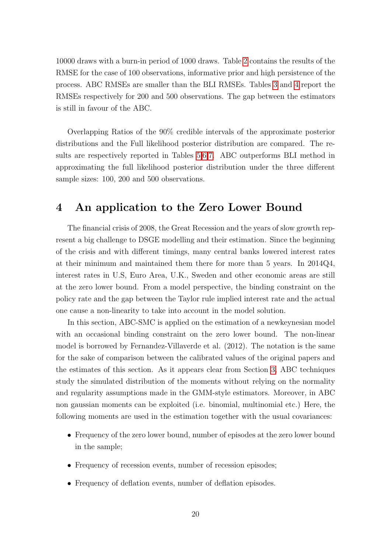10000 draws with a burn-in period of 1000 draws. Table [2](#page-34-0) contains the results of the RMSE for the case of 100 observations, informative prior and high persistence of the process. ABC RMSEs are smaller than the BLI RMSEs. Tables [3](#page-34-1) and [4](#page-34-2) report the RMSEs respectively for 200 and 500 observations. The gap between the estimators is still in favour of the ABC.

Overlapping Ratios of the 90% credible intervals of the approximate posterior distributions and the Full likelihood posterior distribution are compared. The results are respectively reported in Tables [5,](#page-35-0)[6,](#page-35-1)[7.](#page-35-2) ABC outperforms BLI method in approximating the full likelihood posterior distribution under the three different sample sizes: 100, 200 and 500 observations.

## <span id="page-19-0"></span>4 An application to the Zero Lower Bound

The financial crisis of 2008, the Great Recession and the years of slow growth represent a big challenge to DSGE modelling and their estimation. Since the beginning of the crisis and with different timings, many central banks lowered interest rates at their minimum and maintained them there for more than 5 years. In 2014Q4, interest rates in U.S, Euro Area, U.K., Sweden and other economic areas are still at the zero lower bound. From a model perspective, the binding constraint on the policy rate and the gap between the Taylor rule implied interest rate and the actual one cause a non-linearity to take into account in the model solution.

In this section, ABC-SMC is applied on the estimation of a newkeynesian model with an occasional binding constraint on the zero lower bound. The non-linear model is borrowed by Fernandez-Villaverde et al. (2012). The notation is the same for the sake of comparison between the calibrated values of the original papers and the estimates of this section. As it appears clear from Section [3,](#page-12-0) ABC techniques study the simulated distribution of the moments without relying on the normality and regularity assumptions made in the GMM-style estimators. Moreover, in ABC non gaussian moments can be exploited (i.e. binomial, multinomial etc.) Here, the following moments are used in the estimation together with the usual covariances:

- Frequency of the zero lower bound, number of episodes at the zero lower bound in the sample;
- Frequency of recession events, number of recession episodes;
- Frequency of deflation events, number of deflation episodes.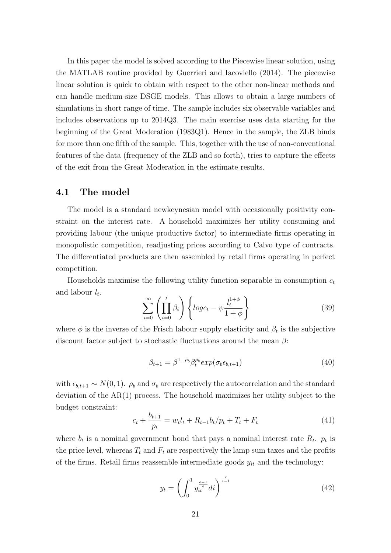In this paper the model is solved according to the Piecewise linear solution, using the MATLAB routine provided by Guerrieri and Iacoviello (2014). The piecewise linear solution is quick to obtain with respect to the other non-linear methods and can handle medium-size DSGE models. This allows to obtain a large numbers of simulations in short range of time. The sample includes six observable variables and includes observations up to 2014Q3. The main exercise uses data starting for the beginning of the Great Moderation (1983Q1). Hence in the sample, the ZLB binds for more than one fifth of the sample. This, together with the use of non-conventional features of the data (frequency of the ZLB and so forth), tries to capture the effects of the exit from the Great Moderation in the estimate results.

#### 4.1 The model

The model is a standard newkeynesian model with occasionally positivity constraint on the interest rate. A household maximizes her utility consuming and providing labour (the unique productive factor) to intermediate firms operating in monopolistic competition, readjusting prices according to Calvo type of contracts. The differentiated products are then assembled by retail firms operating in perfect competition.

Households maximise the following utility function separable in consumption  $c_t$ and labour  $l_t$ .

$$
\sum_{i=0}^{\infty} \left( \prod_{i=0}^{t} \beta_i \right) \left\{ \log c_t - \psi \frac{l_t^{1+\phi}}{1+\phi} \right\} \tag{39}
$$

where  $\phi$  is the inverse of the Frisch labour supply elasticity and  $\beta_t$  is the subjective discount factor subject to stochastic fluctuations around the mean  $\beta$ :

$$
\beta_{t+1} = \beta^{1-\rho_b} \beta_t^{\rho_b} exp(\sigma_b \epsilon_{b,t+1}) \tag{40}
$$

with  $\epsilon_{b,t+1} \sim N(0, 1)$ .  $\rho_b$  and  $\sigma_b$  are respectively the autocorrelation and the standard deviation of the AR(1) process. The household maximizes her utility subject to the budget constraint:

$$
c_{t} + \frac{b_{t+1}}{p_{t}} = w_{t}l_{t} + R_{t-1}b_{t}/p_{t} + T_{t} + F_{t}
$$
\n(41)

where  $b_t$  is a nominal government bond that pays a nominal interest rate  $R_t$ .  $p_t$  is the price level, whereas  $T_t$  and  $F_t$  are respectively the lamp sum taxes and the profits of the firms. Retail firms reassemble intermediate goods  $y_{it}$  and the technology:

$$
y_t = \left(\int_0^1 y_{it}^{\frac{\epsilon - 1}{\epsilon}} dt\right)^{\frac{\epsilon}{\epsilon - 1}}
$$
(42)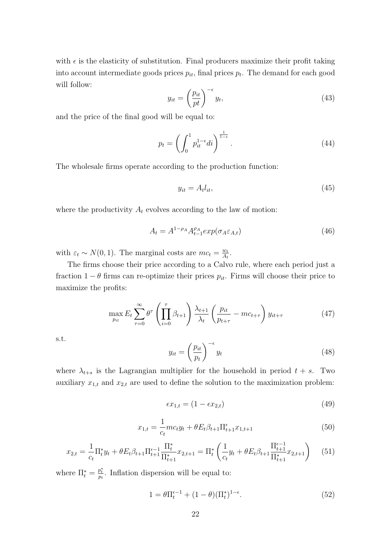with  $\epsilon$  is the elasticity of substitution. Final producers maximize their profit taking into account intermediate goods prices  $p_{it}$ , final prices  $p_t$ . The demand for each good will follow:

$$
y_{it} = \left(\frac{p_{it}}{pt}\right)^{-\epsilon} y_t,\tag{43}
$$

and the price of the final good will be equal to:

$$
p_t = \left(\int_0^1 p_{it}^{1-\epsilon} di\right)^{\frac{1}{1-\epsilon}}.\tag{44}
$$

The wholesale firms operate according to the production function:

$$
y_{it} = A_t l_{it},\tag{45}
$$

where the productivity  $A_t$  evolves according to the law of motion:

$$
A_t = A^{1-\rho_A} A_{t-1}^{\rho_A} exp(\sigma_A \varepsilon_{A,t})
$$
\n(46)

with  $\varepsilon_t \sim N(0, 1)$ . The marginal costs are  $mc_t = \frac{w_t}{A_t}$  $\frac{w_t}{A_t}$ .

The firms choose their price according to a Calvo rule, where each period just a fraction  $1 - \theta$  firms can re-optimize their prices  $p_{it}$ . Firms will choose their price to maximize the profits:

$$
\max_{p_{it}} E_t \sum_{\tau=0}^{\infty} \theta^{\tau} \left( \prod_{i=0}^{\tau} \beta_{t+1} \right) \frac{\lambda_{t+1}}{\lambda_t} \left( \frac{p_{it}}{p_{t+\tau}} - mc_{t+\tau} \right) y_{it+\tau}
$$
(47)

s.t.

$$
y_{it} = \left(\frac{p_{it}}{p_t}\right)^{-\epsilon} y_t \tag{48}
$$

where  $\lambda_{t+s}$  is the Lagrangian multiplier for the household in period  $t + s$ . Two auxiliary  $x_{1,t}$  and  $x_{2,t}$  are used to define the solution to the maximization problem:

$$
\epsilon x_{1,t} = (1 - \epsilon x_{2,t}) \tag{49}
$$

$$
x_{1,t} = \frac{1}{c_t}mc_t y_t + \theta E_t \beta_{t+1} \Pi_{t+1}^{\epsilon} x_{1,t+1}
$$
\n(50)

$$
x_{2,t} = \frac{1}{c_t} \Pi_t^* y_t + \theta E_t \beta_{t+1} \Pi_{t+1}^{\epsilon-1} \frac{\Pi_t^*}{\Pi_{t+1}^*} x_{2,t+1} = \Pi_t^* \left( \frac{1}{c_t} y_t + \theta E_t \beta_{t+1} \frac{\Pi_{t+1}^{\epsilon-1}}{\Pi_{t+1}^*} x_{2,t+1} \right) \tag{51}
$$

where  $\Pi_t^* = \frac{p_t^*}{p_t}$ . Inflation dispersion will be equal to:

$$
1 = \theta \Pi_t^{\epsilon - 1} + (1 - \theta) (\Pi_t^*)^{1 - \epsilon}.
$$
\n(52)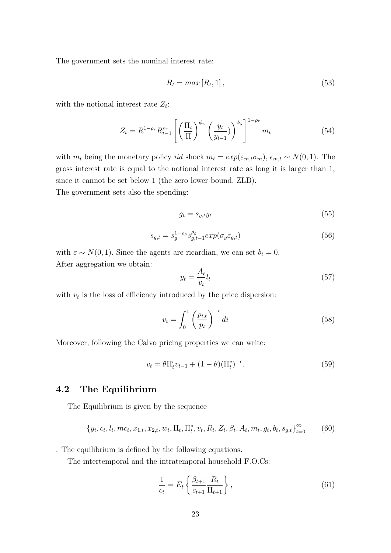The government sets the nominal interest rate:

$$
R_t = \max[R_t, 1],\tag{53}
$$

with the notional interest rate  $Z_t$ :

$$
Z_{t} = R^{1-\rho_{r}} R_{t-1}^{\rho_{r}} \left[ \left( \frac{\Pi_{t}}{\Pi} \right)^{\phi_{\pi}} \left( \frac{y_{t}}{y_{t-1}} \right)^{\phi_{y}} \right]^{1-\rho_{r}} m_{t}
$$
(54)

with  $m_t$  being the monetary policy *iid* shock  $m_t = exp(\varepsilon_{m,t}\sigma_m)$ ,  $\epsilon_{m,t} \sim N(0, 1)$ . The gross interest rate is equal to the notional interest rate as long it is larger than 1, since it cannot be set below 1 (the zero lower bound, ZLB).

The government sets also the spending:

$$
g_t = s_{g,t} y_t \tag{55}
$$

$$
s_{g,t} = s_g^{1-\rho_g} s_{g,t-1}^{\rho_g} exp(\sigma_g \varepsilon_{g,t})
$$
\n(56)

with  $\varepsilon \sim N(0, 1)$ . Since the agents are ricardian, we can set  $b_t = 0$ . After aggregation we obtain:

$$
y_t = \frac{A_t}{v_t} l_t \tag{57}
$$

with  $v_t$  is the loss of efficiency introduced by the price dispersion:

$$
v_t = \int_0^1 \left(\frac{p_{i,t}}{p_t}\right)^{-\epsilon} dt
$$
\n(58)

Moreover, following the Calvo pricing properties we can write:

$$
v_t = \theta \Pi_t^{\epsilon} v_{t-1} + (1 - \theta) (\Pi_t^*)^{-\epsilon}.
$$
\n
$$
(59)
$$

#### 4.2 The Equilibrium

The Equilibrium is given by the sequence

$$
\{y_t, c_t, l_t, mc_t, x_{1,t}, x_{2,t}, w_t, \Pi_t, \Pi_t^*, v_t, R_t, Z_t, \beta_t, A_t, m_t, g_t, b_t, s_{g,t}\}_{t=0}^{\infty}
$$
 (60)

. The equilibrium is defined by the following equations.

The intertemporal and the intratemporal household F.O.Cs:

$$
\frac{1}{c_t} = E_t \left\{ \frac{\beta_{t+1}}{c_{t+1}} \frac{R_t}{\Pi_{t+1}} \right\},
$$
\n(61)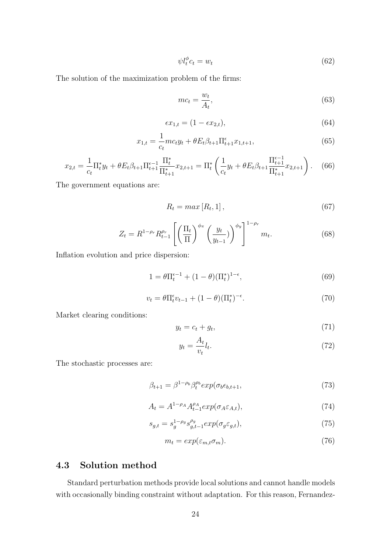$$
\psi l_t^{\phi} c_t = w_t \tag{62}
$$

The solution of the maximization problem of the firms:

$$
mc_t = \frac{w_t}{A_t},\tag{63}
$$

$$
\epsilon x_{1,t} = (1 - \epsilon x_{2,t}),\tag{64}
$$

$$
x_{1,t} = \frac{1}{c_t}mc_t y_t + \theta E_t \beta_{t+1} \Pi_{t+1}^{\epsilon} x_{1,t+1},
$$
\n(65)

$$
x_{2,t} = \frac{1}{c_t} \Pi_t^* y_t + \theta E_t \beta_{t+1} \Pi_{t+1}^{\epsilon-1} \frac{\Pi_t^*}{\Pi_{t+1}^*} x_{2,t+1} = \Pi_t^* \left( \frac{1}{c_t} y_t + \theta E_t \beta_{t+1} \frac{\Pi_{t+1}^{\epsilon-1}}{\Pi_{t+1}^*} x_{2,t+1} \right). \tag{66}
$$

The government equations are:

$$
R_t = \max[R_t, 1],\tag{67}
$$

$$
Z_{t} = R^{1-\rho_{r}} R_{t-1}^{\rho_{r}} \left[ \left( \frac{\Pi_{t}}{\Pi} \right)^{\phi_{\pi}} \left( \frac{y_{t}}{y_{t-1}} \right)^{\phi_{y}} \right]^{1-\rho_{r}} m_{t}.
$$
 (68)

Inflation evolution and price dispersion:

$$
1 = \theta \Pi_t^{\epsilon - 1} + (1 - \theta) (\Pi_t^*)^{1 - \epsilon}, \tag{69}
$$

$$
v_t = \theta \Pi_t^{\epsilon} v_{t-1} + (1 - \theta) (\Pi_t^*)^{-\epsilon}.
$$
\n
$$
(70)
$$

Market clearing conditions:

$$
y_t = c_t + g_t,\tag{71}
$$

$$
y_t = \frac{A_t}{v_t} l_t. \tag{72}
$$

The stochastic processes are:

$$
\beta_{t+1} = \beta^{1-\rho_b} \beta_t^{\rho_b} exp(\sigma_b \epsilon_{b,t+1}, \qquad (73)
$$

$$
A_t = A^{1-\rho_A} A_{t-1}^{\rho_A} exp(\sigma_A \varepsilon_{A,t}), \tag{74}
$$

$$
s_{g,t} = s_g^{1-\rho_g} s_{g,t-1}^{\rho_g} exp(\sigma_g \varepsilon_{g,t}), \qquad (75)
$$

$$
m_t = exp(\varepsilon_{m,t}\sigma_m). \tag{76}
$$

### 4.3 Solution method

Standard perturbation methods provide local solutions and cannot handle models with occasionally binding constraint without adaptation. For this reason, Fernandez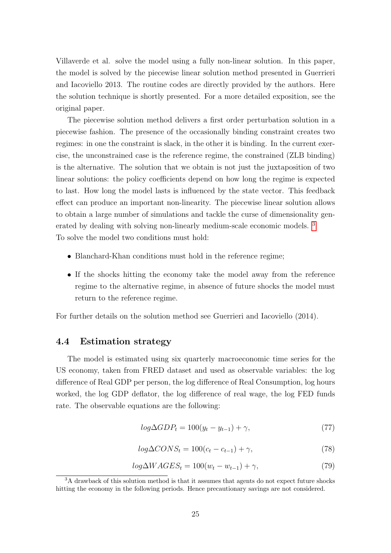Villaverde et al. solve the model using a fully non-linear solution. In this paper, the model is solved by the piecewise linear solution method presented in Guerrieri and Iacoviello 2013. The routine codes are directly provided by the authors. Here the solution technique is shortly presented. For a more detailed exposition, see the original paper.

The piecewise solution method delivers a first order perturbation solution in a piecewise fashion. The presence of the occasionally binding constraint creates two regimes: in one the constraint is slack, in the other it is binding. In the current exercise, the unconstrained case is the reference regime, the constrained (ZLB binding) is the alternative. The solution that we obtain is not just the juxtaposition of two linear solutions: the policy coefficients depend on how long the regime is expected to last. How long the model lasts is influenced by the state vector. This feedback effect can produce an important non-linearity. The piecewise linear solution allows to obtain a large number of simulations and tackle the curse of dimensionality gen-erated by dealing with solving non-linearly medium-scale economic models.<sup>[3](#page-24-0)</sup> To solve the model two conditions must hold:

- Blanchard-Khan conditions must hold in the reference regime;
- If the shocks hitting the economy take the model away from the reference regime to the alternative regime, in absence of future shocks the model must return to the reference regime.

For further details on the solution method see Guerrieri and Iacoviello (2014).

#### 4.4 Estimation strategy

The model is estimated using six quarterly macroeconomic time series for the US economy, taken from FRED dataset and used as observable variables: the log difference of Real GDP per person, the log difference of Real Consumption, log hours worked, the log GDP deflator, the log difference of real wage, the log FED funds rate. The observable equations are the following:

$$
log\Delta GDP_t = 100(y_t - y_{t-1}) + \gamma,\tag{77}
$$

$$
log\Delta CONS_t = 100(c_t - c_{t-1}) + \gamma,
$$
\n(78)

$$
log\Delta WAGES_t = 100(w_t - w_{t-1}) + \gamma,\tag{79}
$$

<span id="page-24-0"></span> $3A$  drawback of this solution method is that it assumes that agents do not expect future shocks hitting the economy in the following periods. Hence precautionary savings are not considered.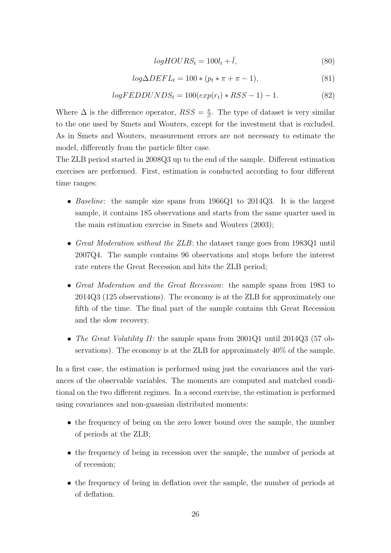$$
logHOURS_t = 100l_t + \bar{l},\tag{80}
$$

$$
log\Delta DEF L_t = 100 * (p_t * \pi + \pi - 1),\tag{81}
$$

$$
logFEDDUNDSt = 100(exp(rt) * RSS - 1) - 1.
$$
\n(82)

Where  $\Delta$  is the difference operator,  $RSS = \frac{\pi}{6}$  $\frac{\pi}{\beta}$ . The type of dataset is very similar to the one used by Smets and Wouters, except for the investment that is excluded. As in Smets and Wouters, measurement errors are not necessary to estimate the model, differently from the particle filter case.

The ZLB period started in 2008Q3 up to the end of the sample. Different estimation exercises are performed. First, estimation is conducted according to four different time ranges:

- Baseline: the sample size spans from 1966Q1 to 2014Q3. It is the largest sample, it contains 185 observations and starts from the same quarter used in the main estimation exercise in Smets and Wouters (2003);
- Great Moderation without the ZLB: the dataset range goes from 1983Q1 until 2007Q4. The sample contains 96 observations and stops before the interest rate enters the Great Recession and hits the ZLB period;
- Great Moderation and the Great Recession: the sample spans from 1983 to 2014Q3 (125 observations). The economy is at the ZLB for approximately one fifth of the time. The final part of the sample contains thh Great Recession and the slow recovery.
- The Great Volatility II: the sample spans from  $2001Q1$  until  $2014Q3$  (57 observations). The economy is at the ZLB for approximately 40% of the sample.

In a first case, the estimation is performed using just the covariances and the variances of the observable variables. The moments are computed and matched conditional on the two different regimes. In a second exercise, the estimation is performed using covariances and non-guassian distributed moments:

- the frequency of being on the zero lower bound over the sample, the number of periods at the ZLB;
- the frequency of being in recession over the sample, the number of periods at of recession;
- the frequency of being in deflation over the sample, the number of periods at of deflation.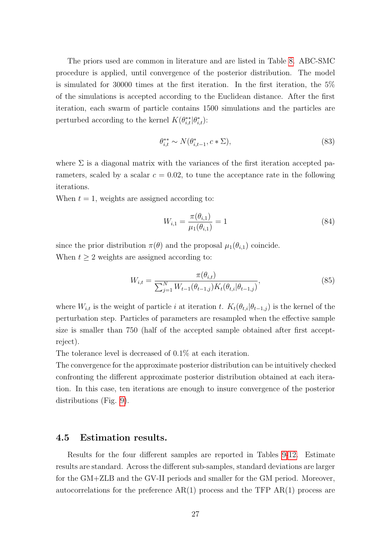The priors used are common in literature and are listed in Table [8.](#page-36-0) ABC-SMC procedure is applied, until convergence of the posterior distribution. The model is simulated for 30000 times at the first iteration. In the first iteration, the 5% of the simulations is accepted according to the Euclidean distance. After the first iteration, each swarm of particle contains 1500 simulations and the particles are perturbed according to the kernel  $K(\theta_{i,t}^{**}|\theta_{i,t}^*)$ :

$$
\theta_{i,t}^{**} \sim N(\theta_{i,t-1}^*, c * \Sigma),\tag{83}
$$

where  $\Sigma$  is a diagonal matrix with the variances of the first iteration accepted parameters, scaled by a scalar  $c = 0.02$ , to tune the acceptance rate in the following iterations.

When  $t = 1$ , weights are assigned according to:

$$
W_{i,1} = \frac{\pi(\theta_{i,1})}{\mu_1(\theta_{i,1})} = 1
$$
\n(84)

since the prior distribution  $\pi(\theta)$  and the proposal  $\mu_1(\theta_{i,1})$  coincide.

When  $t \geq 2$  weights are assigned according to:

$$
W_{i,t} = \frac{\pi(\theta_{i,t})}{\sum_{j=1}^{N} W_{t-1}(\theta_{t-1,j}) K_t(\theta_{t,i} | \theta_{t-1,j})},
$$
\n(85)

where  $W_{i,t}$  is the weight of particle i at iteration t.  $K_t(\theta_{t,i}|\theta_{t-1,j})$  is the kernel of the perturbation step. Particles of parameters are resampled when the effective sample size is smaller than 750 (half of the accepted sample obtained after first acceptreject).

The tolerance level is decreased of 0.1% at each iteration.

The convergence for the approximate posterior distribution can be intuitively checked confronting the different approximate posterior distribution obtained at each iteration. In this case, ten iterations are enough to insure convergence of the posterior distributions (Fig. [9\)](#page-46-0).

#### 4.5 Estimation results.

Results for the four different samples are reported in Tables [9-](#page-36-1)[12.](#page-38-0) Estimate results are standard. Across the different sub-samples, standard deviations are larger for the GM+ZLB and the GV-II periods and smaller for the GM period. Moreover, autocorrelations for the preference  $AR(1)$  process and the TFP  $AR(1)$  process are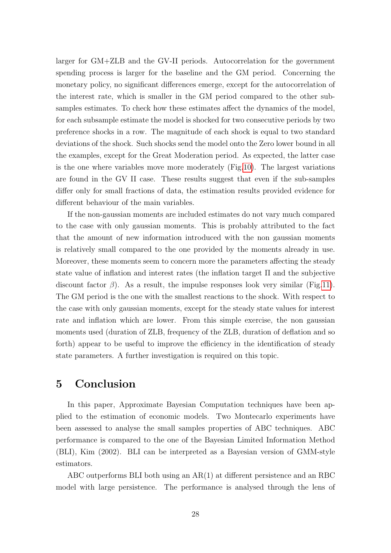larger for GM+ZLB and the GV-II periods. Autocorrelation for the government spending process is larger for the baseline and the GM period. Concerning the monetary policy, no significant differences emerge, except for the autocorrelation of the interest rate, which is smaller in the GM period compared to the other subsamples estimates. To check how these estimates affect the dynamics of the model, for each subsample estimate the model is shocked for two consecutive periods by two preference shocks in a row. The magnitude of each shock is equal to two standard deviations of the shock. Such shocks send the model onto the Zero lower bound in all the examples, except for the Great Moderation period. As expected, the latter case is the one where variables move more moderately (Fig[.10\)](#page-47-0). The largest variations are found in the GV II case. These results suggest that even if the sub-samples differ only for small fractions of data, the estimation results provided evidence for different behaviour of the main variables.

If the non-gaussian moments are included estimates do not vary much compared to the case with only gaussian moments. This is probably attributed to the fact that the amount of new information introduced with the non gaussian moments is relatively small compared to the one provided by the moments already in use. Moreover, these moments seem to concern more the parameters affecting the steady state value of inflation and interest rates (the inflation target Π and the subjective discount factor  $\beta$ ). As a result, the impulse responses look very similar (Fig[.11\)](#page-48-0). The GM period is the one with the smallest reactions to the shock. With respect to the case with only gaussian moments, except for the steady state values for interest rate and inflation which are lower. From this simple exercise, the non gaussian moments used (duration of ZLB, frequency of the ZLB, duration of deflation and so forth) appear to be useful to improve the efficiency in the identification of steady state parameters. A further investigation is required on this topic.

## <span id="page-27-0"></span>5 Conclusion

In this paper, Approximate Bayesian Computation techniques have been applied to the estimation of economic models. Two Montecarlo experiments have been assessed to analyse the small samples properties of ABC techniques. ABC performance is compared to the one of the Bayesian Limited Information Method (BLI), Kim (2002). BLI can be interpreted as a Bayesian version of GMM-style estimators.

ABC outperforms BLI both using an AR(1) at different persistence and an RBC model with large persistence. The performance is analysed through the lens of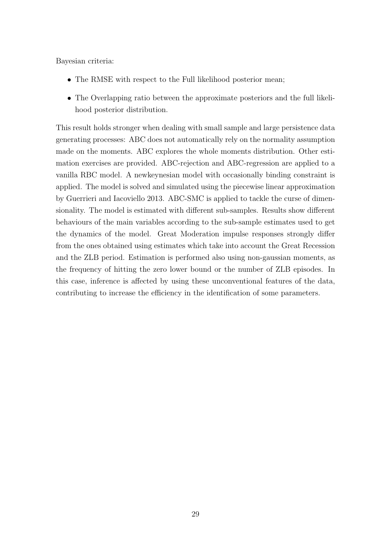Bayesian criteria:

- The RMSE with respect to the Full likelihood posterior mean;
- The Overlapping ratio between the approximate posteriors and the full likelihood posterior distribution.

This result holds stronger when dealing with small sample and large persistence data generating processes: ABC does not automatically rely on the normality assumption made on the moments. ABC explores the whole moments distribution. Other estimation exercises are provided. ABC-rejection and ABC-regression are applied to a vanilla RBC model. A newkeynesian model with occasionally binding constraint is applied. The model is solved and simulated using the piecewise linear approximation by Guerrieri and Iacoviello 2013. ABC-SMC is applied to tackle the curse of dimensionality. The model is estimated with different sub-samples. Results show different behaviours of the main variables according to the sub-sample estimates used to get the dynamics of the model. Great Moderation impulse responses strongly differ from the ones obtained using estimates which take into account the Great Recession and the ZLB period. Estimation is performed also using non-gaussian moments, as the frequency of hitting the zero lower bound or the number of ZLB episodes. In this case, inference is affected by using these unconventional features of the data, contributing to increase the efficiency in the identification of some parameters.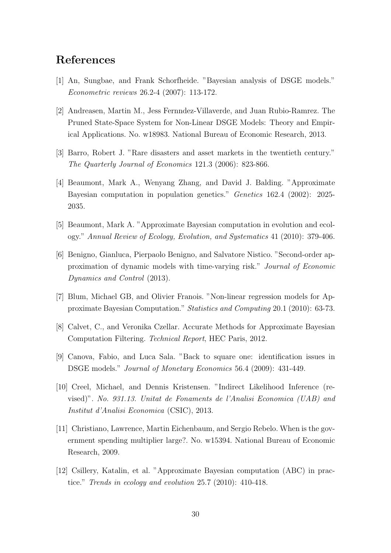## References

- [1] An, Sungbae, and Frank Schorfheide. "Bayesian analysis of DSGE models." Econometric reviews 26.2-4 (2007): 113-172.
- [2] Andreasen, Martin M., Jess Fernndez-Villaverde, and Juan Rubio-Ramrez. The Pruned State-Space System for Non-Linear DSGE Models: Theory and Empirical Applications. No. w18983. National Bureau of Economic Research, 2013.
- [3] Barro, Robert J. "Rare disasters and asset markets in the twentieth century." The Quarterly Journal of Economics 121.3 (2006): 823-866.
- [4] Beaumont, Mark A., Wenyang Zhang, and David J. Balding. "Approximate Bayesian computation in population genetics." Genetics 162.4 (2002): 2025- 2035.
- [5] Beaumont, Mark A. "Approximate Bayesian computation in evolution and ecology." Annual Review of Ecology, Evolution, and Systematics 41 (2010): 379-406.
- [6] Benigno, Gianluca, Pierpaolo Benigno, and Salvatore Nistico. "Second-order approximation of dynamic models with time-varying risk." Journal of Economic Dynamics and Control (2013).
- [7] Blum, Michael GB, and Olivier Franois. "Non-linear regression models for Approximate Bayesian Computation." Statistics and Computing 20.1 (2010): 63-73.
- [8] Calvet, C., and Veronika Czellar. Accurate Methods for Approximate Bayesian Computation Filtering. Technical Report, HEC Paris, 2012.
- [9] Canova, Fabio, and Luca Sala. "Back to square one: identification issues in DSGE models." Journal of Monetary Economics 56.4 (2009): 431-449.
- [10] Creel, Michael, and Dennis Kristensen. "Indirect Likelihood Inference (revised)". No. 931.13. Unitat de Fonaments de l'Analisi Economica (UAB) and Institut d'Analisi Economica (CSIC), 2013.
- [11] Christiano, Lawrence, Martin Eichenbaum, and Sergio Rebelo. When is the government spending multiplier large?. No. w15394. National Bureau of Economic Research, 2009.
- [12] Csillery, Katalin, et al. "Approximate Bayesian computation (ABC) in practice." Trends in ecology and evolution 25.7 (2010): 410-418.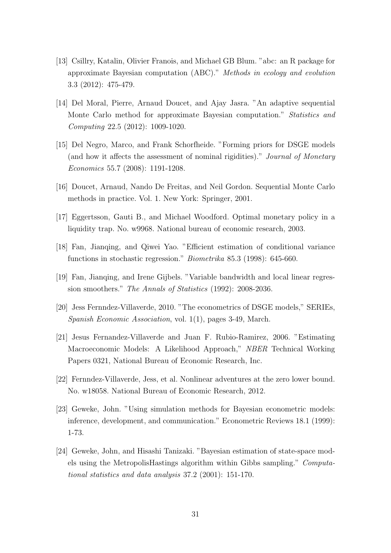- [13] Csillry, Katalin, Olivier Franois, and Michael GB Blum. "abc: an R package for approximate Bayesian computation (ABC)." Methods in ecology and evolution 3.3 (2012): 475-479.
- [14] Del Moral, Pierre, Arnaud Doucet, and Ajay Jasra. "An adaptive sequential Monte Carlo method for approximate Bayesian computation." Statistics and Computing 22.5 (2012): 1009-1020.
- [15] Del Negro, Marco, and Frank Schorfheide. "Forming priors for DSGE models (and how it affects the assessment of nominal rigidities)." Journal of Monetary Economics 55.7 (2008): 1191-1208.
- [16] Doucet, Arnaud, Nando De Freitas, and Neil Gordon. Sequential Monte Carlo methods in practice. Vol. 1. New York: Springer, 2001.
- [17] Eggertsson, Gauti B., and Michael Woodford. Optimal monetary policy in a liquidity trap. No. w9968. National bureau of economic research, 2003.
- [18] Fan, Jianqing, and Qiwei Yao. "Efficient estimation of conditional variance functions in stochastic regression." Biometrika 85.3 (1998): 645-660.
- [19] Fan, Jianqing, and Irene Gijbels. "Variable bandwidth and local linear regression smoothers." The Annals of Statistics (1992): 2008-2036.
- [20] Jess Fernndez-Villaverde, 2010. "The econometrics of DSGE models," SERIEs, Spanish Economic Association, vol. 1(1), pages 3-49, March.
- [21] Jesus Fernandez-Villaverde and Juan F. Rubio-Ramirez, 2006. "Estimating Macroeconomic Models: A Likelihood Approach," NBER Technical Working Papers 0321, National Bureau of Economic Research, Inc.
- [22] Fernndez-Villaverde, Jess, et al. Nonlinear adventures at the zero lower bound. No. w18058. National Bureau of Economic Research, 2012.
- [23] Geweke, John. "Using simulation methods for Bayesian econometric models: inference, development, and communication." Econometric Reviews 18.1 (1999): 1-73.
- [24] Geweke, John, and Hisashi Tanizaki. "Bayesian estimation of state-space models using the MetropolisHastings algorithm within Gibbs sampling." Computational statistics and data analysis 37.2 (2001): 151-170.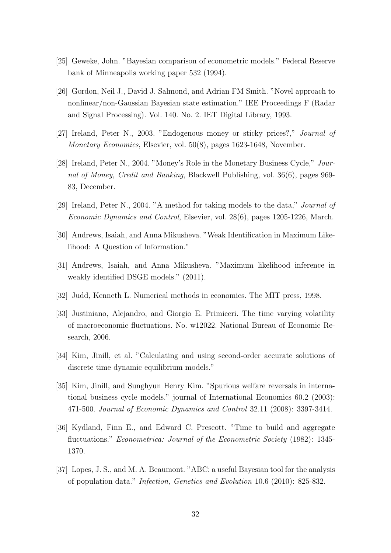- [25] Geweke, John. "Bayesian comparison of econometric models." Federal Reserve bank of Minneapolis working paper 532 (1994).
- [26] Gordon, Neil J., David J. Salmond, and Adrian FM Smith. "Novel approach to nonlinear/non-Gaussian Bayesian state estimation." IEE Proceedings F (Radar and Signal Processing). Vol. 140. No. 2. IET Digital Library, 1993.
- [27] Ireland, Peter N., 2003. "Endogenous money or sticky prices?," Journal of Monetary Economics, Elsevier, vol. 50(8), pages 1623-1648, November.
- [28] Ireland, Peter N., 2004. "Money's Role in the Monetary Business Cycle," Journal of Money, Credit and Banking, Blackwell Publishing, vol. 36(6), pages 969- 83, December.
- [29] Ireland, Peter N., 2004. "A method for taking models to the data," Journal of Economic Dynamics and Control, Elsevier, vol. 28(6), pages 1205-1226, March.
- [30] Andrews, Isaiah, and Anna Mikusheva. "Weak Identification in Maximum Likelihood: A Question of Information."
- [31] Andrews, Isaiah, and Anna Mikusheva. "Maximum likelihood inference in weakly identified DSGE models." (2011).
- [32] Judd, Kenneth L. Numerical methods in economics. The MIT press, 1998.
- [33] Justiniano, Alejandro, and Giorgio E. Primiceri. The time varying volatility of macroeconomic fluctuations. No. w12022. National Bureau of Economic Research, 2006.
- [34] Kim, Jinill, et al. "Calculating and using second-order accurate solutions of discrete time dynamic equilibrium models."
- [35] Kim, Jinill, and Sunghyun Henry Kim. "Spurious welfare reversals in international business cycle models." journal of International Economics 60.2 (2003): 471-500. Journal of Economic Dynamics and Control 32.11 (2008): 3397-3414.
- [36] Kydland, Finn E., and Edward C. Prescott. "Time to build and aggregate fluctuations." Econometrica: Journal of the Econometric Society (1982): 1345- 1370.
- [37] Lopes, J. S., and M. A. Beaumont. "ABC: a useful Bayesian tool for the analysis of population data." Infection, Genetics and Evolution 10.6 (2010): 825-832.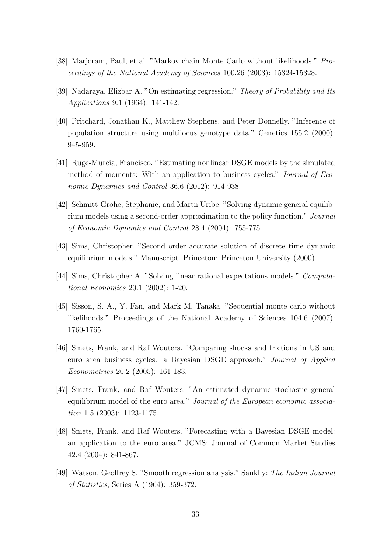- [38] Marjoram, Paul, et al. "Markov chain Monte Carlo without likelihoods." Proceedings of the National Academy of Sciences 100.26 (2003): 15324-15328.
- [39] Nadaraya, Elizbar A. "On estimating regression." Theory of Probability and Its Applications 9.1 (1964): 141-142.
- [40] Pritchard, Jonathan K., Matthew Stephens, and Peter Donnelly. "Inference of population structure using multilocus genotype data." Genetics 155.2 (2000): 945-959.
- [41] Ruge-Murcia, Francisco. "Estimating nonlinear DSGE models by the simulated method of moments: With an application to business cycles." Journal of Economic Dynamics and Control 36.6 (2012): 914-938.
- [42] Schmitt-Grohe, Stephanie, and Martn Uribe. "Solving dynamic general equilibrium models using a second-order approximation to the policy function." Journal of Economic Dynamics and Control 28.4 (2004): 755-775.
- [43] Sims, Christopher. "Second order accurate solution of discrete time dynamic equilibrium models." Manuscript. Princeton: Princeton University (2000).
- [44] Sims, Christopher A. "Solving linear rational expectations models." Computational Economics 20.1 (2002): 1-20.
- [45] Sisson, S. A., Y. Fan, and Mark M. Tanaka. "Sequential monte carlo without likelihoods." Proceedings of the National Academy of Sciences 104.6 (2007): 1760-1765.
- [46] Smets, Frank, and Raf Wouters. "Comparing shocks and frictions in US and euro area business cycles: a Bayesian DSGE approach." Journal of Applied Econometrics 20.2 (2005): 161-183.
- [47] Smets, Frank, and Raf Wouters. "An estimated dynamic stochastic general equilibrium model of the euro area." Journal of the European economic association 1.5 (2003): 1123-1175.
- [48] Smets, Frank, and Raf Wouters. "Forecasting with a Bayesian DSGE model: an application to the euro area." JCMS: Journal of Common Market Studies 42.4 (2004): 841-867.
- [49] Watson, Geoffrey S. "Smooth regression analysis." Sankhy: The Indian Journal of Statistics, Series A (1964): 359-372.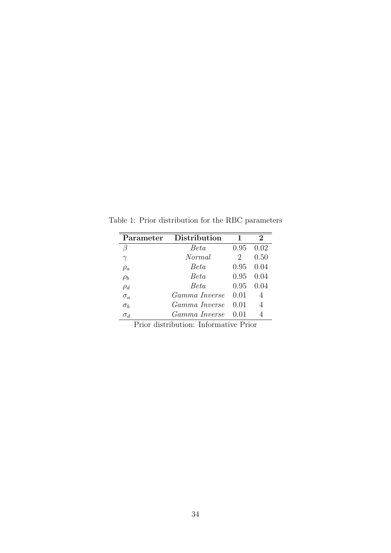| Parameter  | Distribution       |                             | $\bf{2}$ |
|------------|--------------------|-----------------------------|----------|
|            | <i>Beta</i>        | 0.95                        | 0.02     |
| $\gamma$   | Normal             | $\mathcal{D}_{\mathcal{L}}$ | 0.50     |
| $\rho_a$   | Beta               | 0.95                        | 0.04     |
| $\rho_b$   | Beta               | 0.95                        | 0.04     |
| $\rho_d$   | Beta               | 0.95                        | 0.04     |
| $\sigma_a$ | Gamma Inverse      | 0.01                        | 4        |
| $\sigma_b$ | Gamma Inverse      | 0.01                        | 4        |
| $\sigma_d$ | Gamma Inverse 0.01 |                             | 4        |

<span id="page-33-0"></span>Table 1: Prior distribution for the RBC parameters

Prior distribution: Informative Prior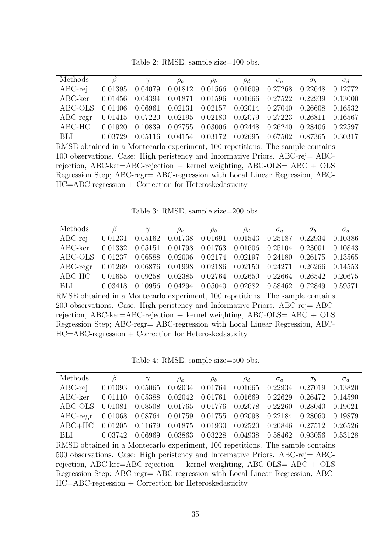Table 2: RMSE, sample size=100 obs.

<span id="page-34-0"></span>

| Methods                                                                        | β       | $\gamma$ | $\rho_a$ | $\rho_b$ | $\rho_d$ | $\sigma_a$ | $\sigma_b$ | $\sigma_d$ |
|--------------------------------------------------------------------------------|---------|----------|----------|----------|----------|------------|------------|------------|
| $ABC-rej$                                                                      | 0.01395 | 0.04079  | 0.01812  | 0.01566  | 0.01609  | 0.27268    | 0.22648    | 0.12772    |
| $ABC$ - $ker$                                                                  | 0.01456 | 0.04394  | 0.01871  | 0.01596  | 0.01666  | 0.27522    | 0.22939    | 0.13000    |
| ABC-OLS                                                                        | 0.01406 | 0.06961  | 0.02131  | 0.02157  | 0.02014  | 0.27040    | 0.26608    | 0.16532    |
| $ABC$ -regr                                                                    | 0.01415 | 0.07220  | 0.02195  | 0.02180  | 0.02079  | 0.27223    | 0.26811    | 0.16567    |
| ABC-HC                                                                         | 0.01920 | 0.10839  | 0.02755  | 0.03006  | 0.02448  | 0.26240    | 0.28406    | 0.22597    |
| <b>BLI</b>                                                                     | 0.03729 | 0.05116  | 0.04154  | 0.03172  | 0.02695  | 0.67502    | 0.87365    | 0.30317    |
| RMSE obtained in a Montecarlo experiment, 100 repetitions. The sample contains |         |          |          |          |          |            |            |            |
| 100 observations. Case: High peristency and Informative Priors. ABC-rej = ABC- |         |          |          |          |          |            |            |            |
| rejection, ABC-ker=ABC-rejection + kernel weighting, ABC-OLS= $ABC + OLS$      |         |          |          |          |          |            |            |            |
| Regression Step; ABC-regr= ABC-regression with Local Linear Regression, ABC-   |         |          |          |          |          |            |            |            |
| $HC = ABC$ -regression + Correction for Heteroskedasticity                     |         |          |          |          |          |            |            |            |
|                                                                                |         |          |          |          |          |            |            |            |

Table 3: RMSE, sample size=200 obs.

<span id="page-34-1"></span>

| Methods                                                                        | β                                                          | $\gamma$ | $\rho_a$ | $\rho_b$ | $\rho_d$ | $\sigma_a$ | $\sigma_b$ | $\sigma_d$ |
|--------------------------------------------------------------------------------|------------------------------------------------------------|----------|----------|----------|----------|------------|------------|------------|
| $ABC-rej$                                                                      | 0.01231                                                    | 0.05162  | 0.01738  | 0.01691  | 0.01543  | 0.25187    | 0.22934    | 0.10386    |
| $ABC$ - $ker$                                                                  | 0.01332                                                    | 0.05151  | 0.01798  | 0.01763  | 0.01606  | 0.25104    | 0.23001    | 0.10843    |
| ABC-OLS                                                                        | 0.01237                                                    | 0.06588  | 0.02006  | 0.02174  | 0.02197  | 0.24180    | 0.26175    | 0.13565    |
| $ABC$ -regr                                                                    | 0.01269                                                    | 0.06876  | 0.01998  | 0.02186  | 0.02150  | 0.24271    | 0.26266    | 0.14553    |
| ABC-HC                                                                         | 0.01655                                                    | 0.09258  | 0.02385  | 0.02764  | 0.02650  | 0.22664    | 0.26542    | 0.20675    |
| <b>BLI</b>                                                                     | 0.03418                                                    | 0.10956  | 0.04294  | 0.05040  | 0.02682  | 0.58462    | 0.72849    | 0.59571    |
| RMSE obtained in a Montecarlo experiment, 100 repetitions. The sample contains |                                                            |          |          |          |          |            |            |            |
| 200 observations. Case: High peristency and Informative Priors. ABC-rej = ABC- |                                                            |          |          |          |          |            |            |            |
| rejection, ABC-ker=ABC-rejection + kernel weighting, ABC-OLS= $ABC + OLS$      |                                                            |          |          |          |          |            |            |            |
| Regression Step; ABC-regr= ABC-regression with Local Linear Regression, ABC-   |                                                            |          |          |          |          |            |            |            |
|                                                                                | $HC = ABC$ -regression + Correction for Heteroskedasticity |          |          |          |          |            |            |            |

Table 4: RMSE, sample size=500 obs.

<span id="page-34-2"></span>

| Methods                                                                        | β       | $\gamma$ | $\rho_a$ | $\rho_b$ | $\rho_d$ | $\sigma_a$ | $\sigma_b$ | $\sigma_d$ |
|--------------------------------------------------------------------------------|---------|----------|----------|----------|----------|------------|------------|------------|
| $ABC-rej$                                                                      | 0.01093 | 0.05065  | 0.02034  | 0.01764  | 0.01665  | 0.22934    | 0.27019    | 0.13820    |
| $ABC$ - $ker$                                                                  | 0.01110 | 0.05388  | 0.02042  | 0.01761  | 0.01669  | 0.22629    | 0.26472    | 0.14590    |
| ABC-OLS                                                                        | 0.01081 | 0.08508  | 0.01765  | 0.01776  | 0.02078  | 0.22260    | 0.28040    | 0.19021    |
| $ABC$ -regr                                                                    | 0.01068 | 0.08764  | 0.01759  | 0.01755  | 0.02098  | 0.22184    | 0.28060    | 0.19879    |
| $ABC+HC$                                                                       | 0.01205 | 0.11679  | 0.01875  | 0.01930  | 0.02520  | 0.20846    | 0.27512    | 0.26526    |
| <b>BLI</b>                                                                     | 0.03742 | 0.06969  | 0.03863  | 0.03228  | 0.04938  | 0.58462    | 0.93056    | 0.53128    |
| RMSE obtained in a Montecarlo experiment, 100 repetitions. The sample contains |         |          |          |          |          |            |            |            |
| 500 observations. Case: High peristency and Informative Priors. ABC-rej= ABC-  |         |          |          |          |          |            |            |            |
| rejection, ABC-ker=ABC-rejection + kernel weighting, ABC-OLS= $ABC + OLS$      |         |          |          |          |          |            |            |            |
| Regression Step; ABC-regr= ABC-regression with Local Linear Regression, ABC-   |         |          |          |          |          |            |            |            |
| $HC = ABC$ -regression + Correction for Heteroskedasticity                     |         |          |          |          |          |            |            |            |
|                                                                                |         |          |          |          |          |            |            |            |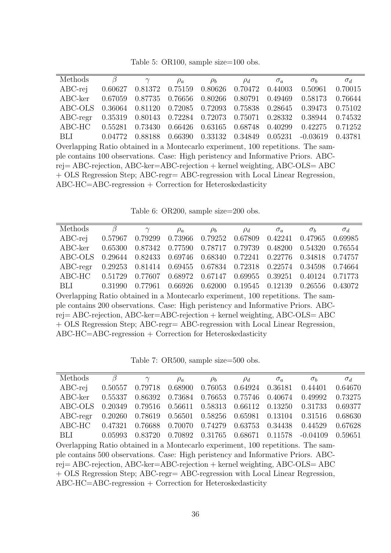Table 5: OR100, sample size=100 obs.

<span id="page-35-0"></span>

| Methods                                                                           | $\beta$ | $\gamma$ | $\rho_a$ | $\rho_b$ | $\rho_d$ | $\sigma_a$ | $\sigma_b$ | $\sigma_d$ |
|-----------------------------------------------------------------------------------|---------|----------|----------|----------|----------|------------|------------|------------|
| $ABC-rei$                                                                         | 0.60627 | 0.81372  | 0.75159  | 0.80626  | 0.70472  | 0.44003    | 0.50961    | 0.70015    |
| $ABC$ - $ker$                                                                     | 0.67059 | 0.87735  | 0.76656  | 0.80266  | 0.80791  | 0.49469    | 0.58173    | 0.76644    |
| ABC-OLS                                                                           | 0.36064 | 0.81120  | 0.72085  | 0.72093  | 0.75838  | 0.28645    | 0.39473    | 0.75102    |
| $ABC$ -regr                                                                       | 0.35319 | 0.80143  | 0.72284  | 0.72073  | 0.75071  | 0.28332    | 0.38944    | 0.74532    |
| $ABC-HC$                                                                          | 0.55281 | 0.73430  | 0.66426  | 0.63165  | 0.68748  | 0.40299    | 0.42275    | 0.71252    |
| <b>BLI</b>                                                                        | 0.04772 | 0.88188  | 0.66390  | 0.33132  | 0.34849  | 0.05231    | $-0.03619$ | 0.43781    |
| Overlapping Ratio obtained in a Montecarlo experiment, 100 repetitions. The sam-  |         |          |          |          |          |            |            |            |
| ple contains 100 observations. Case: High peristency and Informative Priors. ABC- |         |          |          |          |          |            |            |            |
| $rej = ABC-rejection, ABC-ker = ABC-rejection + kernel weighting, ABC-OLS = ABC$  |         |          |          |          |          |            |            |            |
| + OLS Regression Step; ABC-regr= ABC-regression with Local Linear Regression,     |         |          |          |          |          |            |            |            |
| $ABC-HC=ABC$ -regression + Correction for Heteroskedasticity                      |         |          |          |          |          |            |            |            |
|                                                                                   |         |          |          |          |          |            |            |            |

Table 6: OR200, sample size=200 obs.

<span id="page-35-1"></span>

| Methods                                                                           | β                                                            | $\gamma$ | $\rho_a$ | $\rho_b$ | $\rho_d$ | $\sigma_a$ | $\sigma_b$ | $\sigma_d$ |
|-----------------------------------------------------------------------------------|--------------------------------------------------------------|----------|----------|----------|----------|------------|------------|------------|
| $ABC-rei$                                                                         | 0.57967                                                      | 0.79299  | 0.73966  | 0.79252  | 0.67809  | 0.42241    | 0.47965    | 0.69985    |
| $ABC$ -ker                                                                        | 0.65300                                                      | 0.87342  | 0.77590  | 0.78717  | 0.79739  | 0.48200    | 0.54320    | 0.76554    |
| ABC-OLS                                                                           | 0.29644                                                      | 0.82433  | 0.69746  | 0.68340  | 0.72241  | 0.22776    | 0.34818    | 0.74757    |
| $ABC$ -regr                                                                       | 0.29253                                                      | 0.81414  | 0.69455  | 0.67834  | 0.72318  | 0.22574    | 0.34598    | 0.74664    |
| ABC-HC                                                                            | 0.51729                                                      | 0.77607  | 0.68972  | 0.67147  | 0.69955  | 0.39251    | 0.40124    | 0.71773    |
| BLI                                                                               | 0.31990                                                      | 0.77961  | 0.66926  | 0.62000  | 0.19545  | 0.12139    | 0.26556    | 0.43072    |
| Overlapping Ratio obtained in a Montecarlo experiment, 100 repetitions. The sam-  |                                                              |          |          |          |          |            |            |            |
| ple contains 200 observations. Case: High peristency and Informative Priors. ABC- |                                                              |          |          |          |          |            |            |            |
| $rej = ABC-rejection, ABC-ker = ABC-rejection + kernel weighting, ABC-OLS = ABC$  |                                                              |          |          |          |          |            |            |            |
| + OLS Regression Step; ABC-regr= ABC-regression with Local Linear Regression,     |                                                              |          |          |          |          |            |            |            |
|                                                                                   | $ABC-HC=ABC$ -regression + Correction for Heteroskedasticity |          |          |          |          |            |            |            |

Table 7: OR500, sample size=500 obs.

<span id="page-35-2"></span>

| Methods                                                                           | β       | $\gamma$ | $\rho_a$ | $\rho_b$ | $\rho_d$ | $\sigma_a$ | $\sigma_b$ | $\sigma_d$ |
|-----------------------------------------------------------------------------------|---------|----------|----------|----------|----------|------------|------------|------------|
| $ABC-rei$                                                                         | 0.50557 | 0.79718  | 0.68900  | 0.76053  | 0.64924  | 0.36181    | 0.44401    | 0.64670    |
| $ABC$ - $ker$                                                                     | 0.55337 | 0.86392  | 0.73684  | 0.76653  | 0.75746  | 0.40674    | 0.49992    | 0.73275    |
| ABC-OLS                                                                           | 0.20349 | 0.79516  | 0.56611  | 0.58313  | 0.66112  | 0.13250    | 0.31733    | 0.69377    |
| $ABC$ -regr                                                                       | 0.20260 | 0.78619  | 0.56501  | 0.58256  | 0.65981  | 0.13104    | 0.31516    | 0.68630    |
| ABC-HC                                                                            | 0.47321 | 0.76688  | 0.70070  | 0.74279  | 0.63753  | 0.34438    | 0.44529    | 0.67628    |
| <b>BLI</b>                                                                        | 0.05993 | 0.83720  | 0.70892  | 0.31765  | 0.68671  | 0.11578    | $-0.04109$ | 0.59651    |
| Overlapping Ratio obtained in a Montecarlo experiment, 100 repetitions. The sam-  |         |          |          |          |          |            |            |            |
| ple contains 500 observations. Case: High peristency and Informative Priors. ABC- |         |          |          |          |          |            |            |            |
| $rej = ABC-rejection, ABC-ker=ABC-rejection + kernel weighting, ABC-OLS = ABC$    |         |          |          |          |          |            |            |            |
| + OLS Regression Step; ABC-regr= ABC-regression with Local Linear Regression,     |         |          |          |          |          |            |            |            |
| $ABC-HC=ABC$ -regression + Correction for Heteroskedasticity                      |         |          |          |          |          |            |            |            |
|                                                                                   |         |          |          |          |          |            |            |            |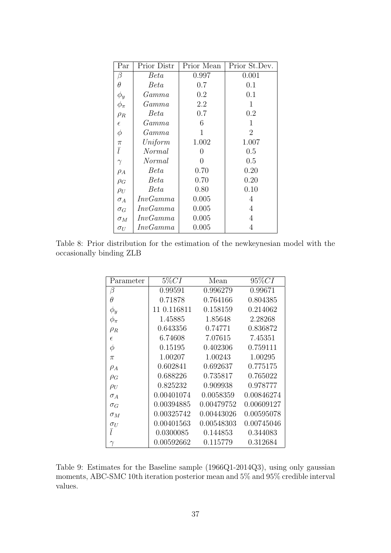<span id="page-36-0"></span>

| Par        | Prior Distr    | Prior Mean | Prior St.Dev.  |
|------------|----------------|------------|----------------|
| β          | Beta           | 0.997      | 0.001          |
| θ          | <i>Beta</i>    | 0.7        | 0.1            |
| $\phi_y$   | $\emph{Gamma}$ | 0.2        | 0.1            |
| $\phi_\pi$ | $\emph{Gamma}$ | 2.2        | 1              |
| $\rho_R$   | <i>Beta</i>    | 0.7        | 0.2            |
| $\epsilon$ | $\emph{Gamma}$ | 6          | 1              |
| $\phi$     | $\emph{Gamma}$ | 1          | $\overline{2}$ |
| $\pi$      | Uniform        | 1.002      | 1.007          |
| $\bar{l}$  | Normal         | 0          | 0.5            |
| $\gamma$   | Normal         | 0          | 0.5            |
| $\rho_A$   | Beta           | 0.70       | 0.20           |
| $\rho_G$   | <b>Beta</b>    | 0.70       | 0.20           |
| $\rho_U$   | Beta           | 0.80       | 0.10           |
| $\sigma_A$ | InvGamma       | 0.005      | 4              |
| $\sigma_G$ | InvGamma       | 0.005      | 4              |
| $\sigma_M$ | InvGamma       | 0.005      | 4              |
| $\sigma_U$ | InvGamma       | 0.005      | 4              |

<span id="page-36-1"></span>Table 8: Prior distribution for the estimation of the newkeynesian model with the occasionally binding ZLB

| Parameter  | $5\% CI$    | Mean       | $95\%CI$   |
|------------|-------------|------------|------------|
| β          | 0.99591     | 0.996279   | 0.99671    |
| $\theta$   | 0.71878     | 0.764166   | 0.804385   |
| $\phi_y$   | 11 0.116811 | 0.158159   | 0.214062   |
| $\phi_\pi$ | 1.45885     | 1.85648    | 2.28268    |
| $\rho_R$   | 0.643356    | 0.74771    | 0.836872   |
| $\epsilon$ | 6.74608     | 7.07615    | 7.45351    |
| $\phi$     | 0.15195     | 0.402306   | 0.759111   |
| $\pi$      | 1.00207     | 1.00243    | 1.00295    |
| $\rho_A$   | 0.602841    | 0.692637   | 0.775175   |
| $\rho_G$   | 0.688226    | 0.735817   | 0.765022   |
| $\rho_U$   | 0.825232    | 0.909938   | 0.978777   |
| $\sigma_A$ | 0.00401074  | 0.0058359  | 0.00846274 |
| $\sigma_G$ | 0.00394885  | 0.00479752 | 0.00609127 |
| $\sigma_M$ | 0.00325742  | 0.00443026 | 0.00595078 |
| $\sigma_U$ | 0.00401563  | 0.00548303 | 0.00745046 |
| $\bar{l}$  | 0.0300085   | 0.144853   | 0.344083   |
|            | 0.00592662  | 0.115779   | 0.312684   |

Table 9: Estimates for the Baseline sample (1966Q1-2014Q3), using only gaussian moments, ABC-SMC 10th iteration posterior mean and 5% and 95% credible interval values.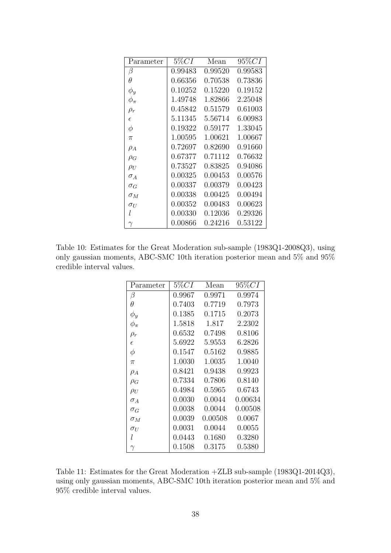| Parameter  | $5\% CI$ | Mean    | $95\% CI$ |
|------------|----------|---------|-----------|
| β          | 0.99483  | 0.99520 | 0.99583   |
| Ĥ          | 0.66356  | 0.70538 | 0.73836   |
| $\phi_y$   | 0.10252  | 0.15220 | 0.19152   |
| $\phi_\pi$ | 1.49748  | 1.82866 | 2.25048   |
| $\rho_r$   | 0.45842  | 0.51579 | 0.61003   |
| $\epsilon$ | 5.11345  | 5.56714 | 6.00983   |
| $\phi$     | 0.19322  | 0.59177 | 1.33045   |
| $\pi$      | 1.00595  | 1.00621 | 1.00667   |
| $\rho_A$   | 0.72697  | 0.82690 | 0.91660   |
| $\rho_G$   | 0.67377  | 0.71112 | 0.76632   |
| $\rho_U$   | 0.73527  | 0.83825 | 0.94086   |
| $\sigma_A$ | 0.00325  | 0.00453 | 0.00576   |
| $\sigma_G$ | 0.00337  | 0.00379 | 0.00423   |
| $\sigma_M$ | 0.00338  | 0.00425 | 0.00494   |
| $\sigma_U$ | 0.00352  | 0.00483 | 0.00623   |
| l          | 0.00330  | 0.12036 | 0.29326   |
|            | 0.00866  | 0.24216 | 0.53122   |

Table 10: Estimates for the Great Moderation sub-sample (1983Q1-2008Q3), using only gaussian moments, ABC-SMC 10th iteration posterior mean and 5% and 95% credible interval values.

| Parameter  | $5\% CI$       | Mean    | $95\% CI$ |
|------------|----------------|---------|-----------|
| β          | 0.9967         | 0.9971  | 0.9974    |
| θ          | 0.7403         | 0.7719  | 0.7973    |
| $\phi_y$   | 0.1385         | 0.1715  | 0.2073    |
| $\phi_\pi$ | 1.5818         | 1.817   | 2.2302    |
| $\rho_r$   | 0.6532         | 0.7498  | 0.8106    |
| $\epsilon$ | 5.6922         | 5.9553  | 6.2826    |
| $\phi$     | 0.1547         | 0.5162  | 0.9885    |
| $\pi$      | 1.0030         | 1.0035  | 1.0040    |
| $\rho_A$   | 0.8421         | 0.9438  | 0.9923    |
| $\rho_G$   | 0.7334         | 0.7806  | 0.8140    |
| $\rho_U$   | 0.4984         | 0.5965  | 0.6743    |
| $\sigma_A$ | 0.0030         | 0.0044  | 0.00634   |
| $\sigma_G$ | 0.0038         | 0.0044  | 0.00508   |
| $\sigma_M$ | 0.0039         | 0.00508 | 0.0067    |
| $\sigma_U$ | $\, 0.0031 \,$ | 0.0044  | 0.0055    |
| l          | 0.0443         | 0.1680  | 0.3280    |
|            | 0.1508         | 0.3175  | 0.5380    |

Table 11: Estimates for the Great Moderation +ZLB sub-sample (1983Q1-2014Q3), using only gaussian moments, ABC-SMC 10th iteration posterior mean and 5% and 95% credible interval values.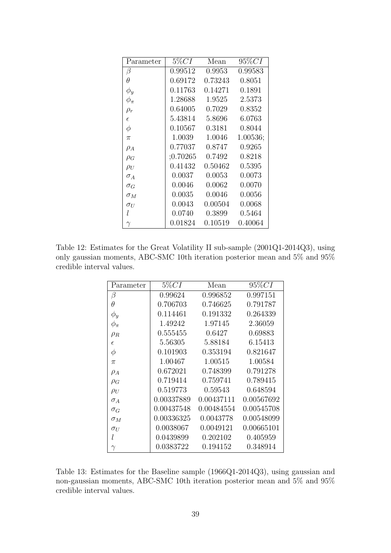<span id="page-38-0"></span>

| Parameter  | $5\% CI$ | Mean    | $95\% CI$ |
|------------|----------|---------|-----------|
| β          | 0.99512  | 0.9953  | 0.99583   |
| θ          | 0.69172  | 0.73243 | 0.8051    |
| $\phi_y$   | 0.11763  | 0.14271 | 0.1891    |
| $\phi_\pi$ | 1.28688  | 1.9525  | 2.5373    |
| $\rho_r$   | 0.64005  | 0.7029  | 0.8352    |
| $\epsilon$ | 5.43814  | 5.8696  | 6.0763    |
| $\phi$     | 0.10567  | 0.3181  | 0.8044    |
| $\pi$      | 1.0039   | 1.0046  | 1.00536;  |
| $\rho_A$   | 0.77037  | 0.8747  | 0.9265    |
| $\rho_G$   | ;0.70265 | 0.7492  | 0.8218    |
| $\rho_U$   | 0.41432  | 0.50462 | 0.5395    |
| $\sigma_A$ | 0.0037   | 0.0053  | 0.0073    |
| $\sigma_G$ | 0.0046   | 0.0062  | 0.0070    |
| $\sigma_M$ | 0.0035   | 0.0046  | 0.0056    |
| $\sigma_U$ | 0.0043   | 0.00504 | 0.0068    |
| l          | 0.0740   | 0.3899  | 0.5464    |
|            | 0.01824  | 0.10519 | 0.40064   |

Table 12: Estimates for the Great Volatility II sub-sample (2001Q1-2014Q3), using only gaussian moments, ABC-SMC 10th iteration posterior mean and 5% and 95% credible interval values.

| Parameter  | $5\% CI$   | Mean       | $95\% CI$  |
|------------|------------|------------|------------|
| β          | 0.99624    | 0.996852   | 0.997151   |
| $\theta$   | 0.706703   | 0.746625   | 0.791787   |
| $\phi_y$   | 0.114461   | 0.191332   | 0.264339   |
| $\phi_\pi$ | 1.49242    | 1.97145    | 2.36059    |
| $\rho_R$   | 0.555455   | 0.6427     | 0.69883    |
| $\epsilon$ | 5.56305    | 5.88184    | 6.15413    |
| $\phi$     | 0.101903   | 0.353194   | 0.821647   |
| $\pi$      | 1.00467    | 1.00515    | 1.00584    |
| $\rho_A$   | 0.672021   | 0.748399   | 0.791278   |
| $\rho_G$   | 0.719414   | 0.759741   | 0.789415   |
| $\rho_U$   | 0.519773   | 0.59543    | 0.648594   |
| $\sigma_A$ | 0.00337889 | 0.00437111 | 0.00567692 |
| $\sigma_G$ | 0.00437548 | 0.00484554 | 0.00545708 |
| $\sigma_M$ | 0.00336325 | 0.0043778  | 0.00548099 |
| $\sigma_U$ | 0.0038067  | 0.0049121  | 0.00665101 |
| l          | 0.0439899  | 0.202102   | 0.405959   |
| $\gamma$   | 0.0383722  | 0.194152   | 0.348914   |

Table 13: Estimates for the Baseline sample (1966Q1-2014Q3), using gaussian and non-gaussian moments, ABC-SMC 10th iteration posterior mean and 5% and 95% credible interval values.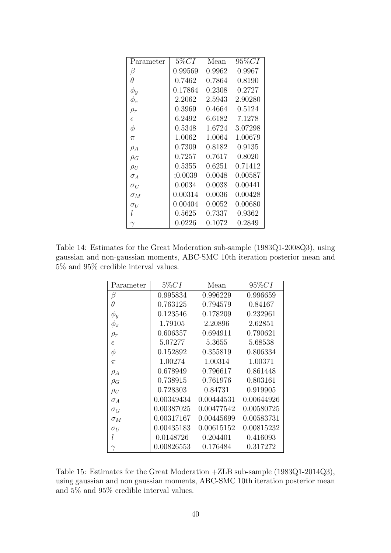| Parameter  | $5\% CI$ | Mean   | $95\% CI$ |
|------------|----------|--------|-----------|
| β          | 0.99569  | 0.9962 | 0.9967    |
| θ          | 0.7462   | 0.7864 | 0.8190    |
| $\phi_y$   | 0.17864  | 0.2308 | 0.2727    |
| $\phi_\pi$ | 2.2062   | 2.5943 | 2.90280   |
| $\rho_r$   | 0.3969   | 0.4664 | 0.5124    |
| $\epsilon$ | 6.2492   | 6.6182 | 7.1278    |
| $\phi$     | 0.5348   | 1.6724 | 3.07298   |
| $\pi$      | 1.0062   | 1.0064 | 1.00679   |
| $\rho_A$   | 0.7309   | 0.8182 | 0.9135    |
| $\rho_G$   | 0.7257   | 0.7617 | 0.8020    |
| $\rho_U$   | 0.5355   | 0.6251 | 0.71412   |
| $\sigma_A$ | ;0.0039  | 0.0048 | 0.00587   |
| $\sigma_G$ | 0.0034   | 0.0038 | 0.00441   |
| $\sigma_M$ | 0.00314  | 0.0036 | 0.00428   |
| $\sigma_U$ | 0.00404  | 0.0052 | 0.00680   |
| l          | 0.5625   | 0.7337 | 0.9362    |
|            | 0.0226   | 0.1072 | 0.2849    |

Table 14: Estimates for the Great Moderation sub-sample (1983Q1-2008Q3), using gaussian and non-gaussian moments, ABC-SMC 10th iteration posterior mean and  $5\%$  and  $95\%$  credible interval values.

| Parameter  | $5\% CI$   | Mean       | $95\% CI$  |
|------------|------------|------------|------------|
| β          | 0.995834   | 0.996229   | 0.996659   |
| Ĥ          | 0.763125   | 0.794579   | 0.84167    |
| $\phi_y$   | 0.123546   | 0.178209   | 0.232961   |
| $\phi_\pi$ | 1.79105    | 2.20896    | 2.62851    |
| $\rho_r$   | 0.606357   | 0.694911   | 0.790621   |
| $\epsilon$ | 5.07277    | 5.3655     | 5.68538    |
| $\phi$     | 0.152892   | 0.355819   | 0.806334   |
| $\pi$      | 1.00274    | 1.00314    | 1.00371    |
| $\rho_A$   | 0.678949   | 0.796617   | 0.861448   |
| $\rho_G$   | 0.738915   | 0.761976   | 0.803161   |
| $\rho_U$   | 0.728303   | 0.84731    | 0.919905   |
| $\sigma_A$ | 0.00349434 | 0.00444531 | 0.00644926 |
| $\sigma_G$ | 0.00387025 | 0.00477542 | 0.00580725 |
| $\sigma_M$ | 0.00317167 | 0.00445699 | 0.00583731 |
| $\sigma_U$ | 0.00435183 | 0.00615152 | 0.00815232 |
| l          | 0.0148726  | 0.204401   | 0.416093   |
| $\gamma$   | 0.00826553 | 0.176484   | 0.317272   |

Table 15: Estimates for the Great Moderation +ZLB sub-sample (1983Q1-2014Q3), using gaussian and non gaussian moments, ABC-SMC 10th iteration posterior mean and 5% and 95% credible interval values.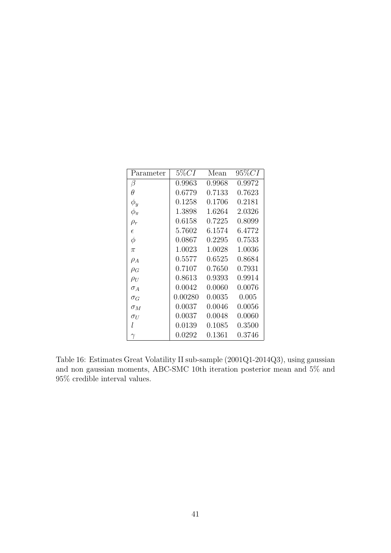| Parameter    | $5\% CI$ | Mean   | $95\% CI$ |
|--------------|----------|--------|-----------|
| β            | 0.9963   | 0.9968 | 0.9972    |
| $\theta$     | 0.6779   | 0.7133 | 0.7623    |
| $\phi_y$     | 0.1258   | 0.1706 | 0.2181    |
| $\phi_{\pi}$ | 1.3898   | 1.6264 | 2.0326    |
| $\rho_r$     | 0.6158   | 0.7225 | 0.8099    |
| $\epsilon$   | 5.7602   | 6.1574 | 6.4772    |
| $\phi$       | 0.0867   | 0.2295 | 0.7533    |
| $\pi$        | 1.0023   | 1.0028 | 1.0036    |
| $\rho_A$     | 0.5577   | 0.6525 | 0.8684    |
| $\rho_G$     | 0.7107   | 0.7650 | 0.7931    |
| $\rho_U$     | 0.8613   | 0.9393 | 0.9914    |
| $\sigma_A$   | 0.0042   | 0.0060 | 0.0076    |
| $\sigma_G$   | 0.00280  | 0.0035 | 0.005     |
| $\sigma_M$   | 0.0037   | 0.0046 | 0.0056    |
| $\sigma_U$   | 0.0037   | 0.0048 | 0.0060    |
| l            | 0.0139   | 0.1085 | 0.3500    |
| $\gamma$     | 0.0292   | 0.1361 | 0.3746    |

Table 16: Estimates Great Volatility II sub-sample (2001Q1-2014Q3), using gaussian and non gaussian moments, ABC-SMC 10th iteration posterior mean and 5% and 95% credible interval values.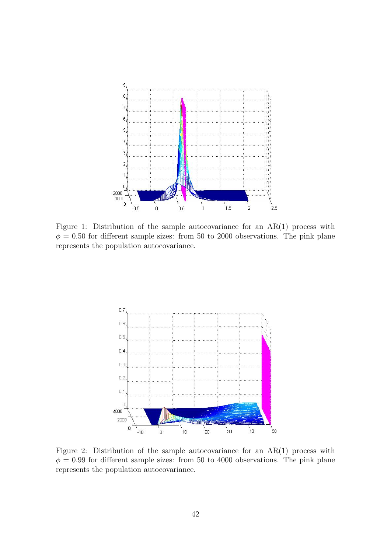<span id="page-41-0"></span>

Figure 1: Distribution of the sample autocovariance for an AR(1) process with  $\phi = 0.50$  for different sample sizes: from 50 to 2000 observations. The pink plane represents the population autocovariance.

<span id="page-41-1"></span>

Figure 2: Distribution of the sample autocovariance for an AR(1) process with  $\phi = 0.99$  for different sample sizes: from 50 to 4000 observations. The pink plane represents the population autocovariance.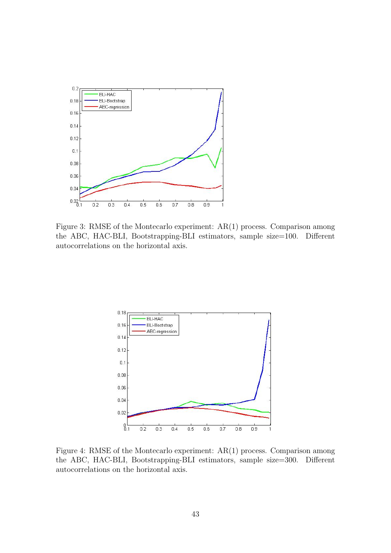<span id="page-42-0"></span>

Figure 3: RMSE of the Montecarlo experiment: AR(1) process. Comparison among the ABC, HAC-BLI, Bootstrapping-BLI estimators, sample size=100. Different autocorrelations on the horizontal axis.

<span id="page-42-1"></span>

Figure 4: RMSE of the Montecarlo experiment: AR(1) process. Comparison among the ABC, HAC-BLI, Bootstrapping-BLI estimators, sample size=300. Different autocorrelations on the horizontal axis.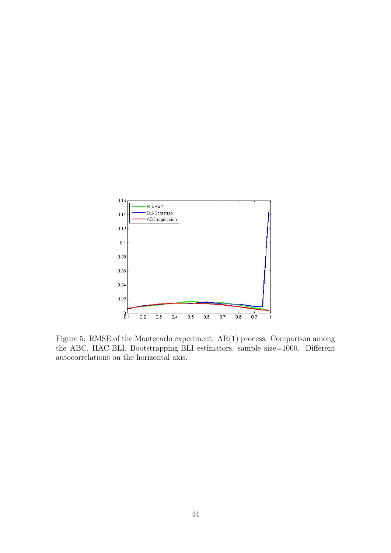<span id="page-43-0"></span>

Figure 5: RMSE of the Montecarlo experiment: AR(1) process. Comparison among the ABC, HAC-BLI, Bootstrapping-BLI estimators, sample size=1000. Different autocorrelations on the horizontal axis.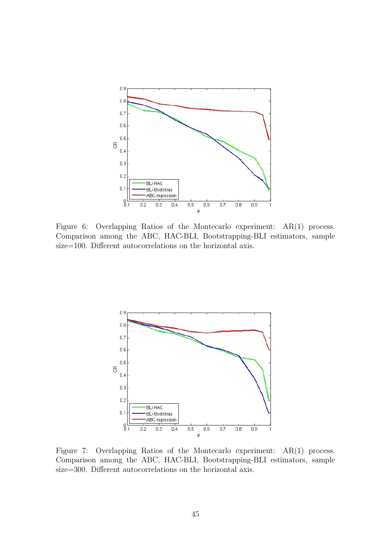<span id="page-44-0"></span>

Figure 6: Overlapping Ratios of the Montecarlo experiment: AR(1) process. Comparison among the ABC, HAC-BLI, Bootstrapping-BLI estimators, sample size=100. Different autocorrelations on the horizontal axis.

<span id="page-44-1"></span>

Figure 7: Overlapping Ratios of the Montecarlo experiment: AR(1) process. Comparison among the ABC, HAC-BLI, Bootstrapping-BLI estimators, sample size=300. Different autocorrelations on the horizontal axis.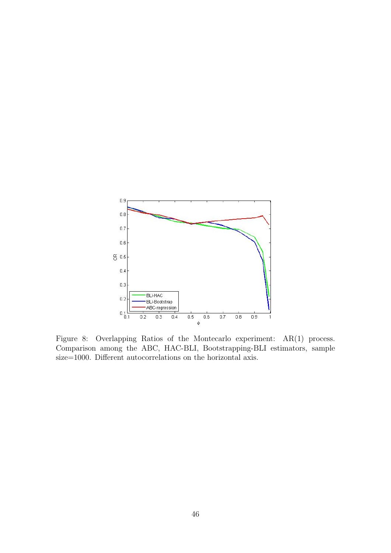<span id="page-45-0"></span>

Figure 8: Overlapping Ratios of the Montecarlo experiment: AR(1) process. Comparison among the ABC, HAC-BLI, Bootstrapping-BLI estimators, sample size=1000. Different autocorrelations on the horizontal axis.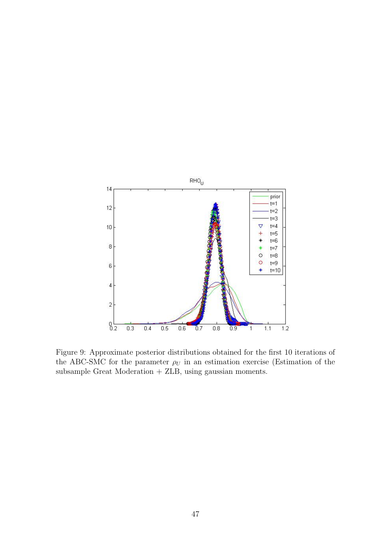<span id="page-46-0"></span>

Figure 9: Approximate posterior distributions obtained for the first 10 iterations of the ABC-SMC for the parameter  $\rho_U$  in an estimation exercise (Estimation of the subsample Great Moderation + ZLB, using gaussian moments.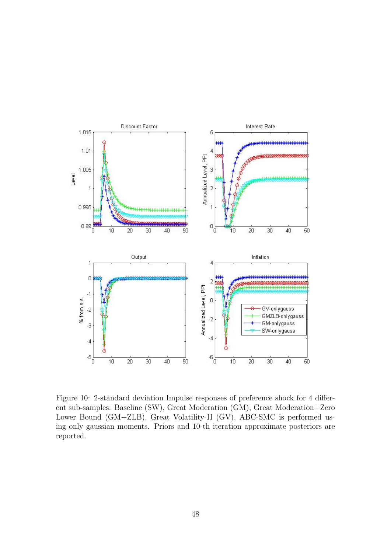<span id="page-47-0"></span>

Figure 10: 2-standard deviation Impulse responses of preference shock for 4 different sub-samples: Baseline (SW), Great Moderation (GM), Great Moderation+Zero Lower Bound (GM+ZLB), Great Volatility-II (GV). ABC-SMC is performed using only gaussian moments. Priors and 10-th iteration approximate posteriors are reported.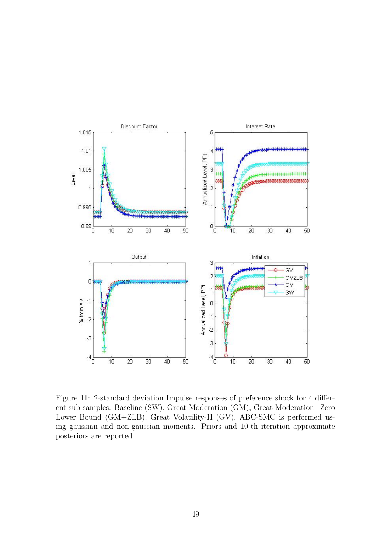<span id="page-48-0"></span>

Figure 11: 2-standard deviation Impulse responses of preference shock for 4 different sub-samples: Baseline (SW), Great Moderation (GM), Great Moderation+Zero Lower Bound (GM+ZLB), Great Volatility-II (GV). ABC-SMC is performed using gaussian and non-gaussian moments. Priors and 10-th iteration approximate posteriors are reported.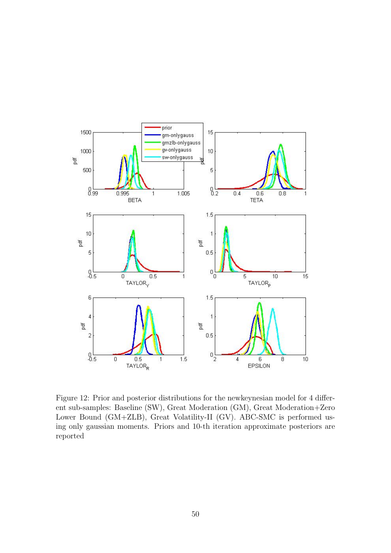

Figure 12: Prior and posterior distributions for the newkeynesian model for 4 different sub-samples: Baseline (SW), Great Moderation (GM), Great Moderation+Zero Lower Bound (GM+ZLB), Great Volatility-II (GV). ABC-SMC is performed using only gaussian moments. Priors and 10-th iteration approximate posteriors are reported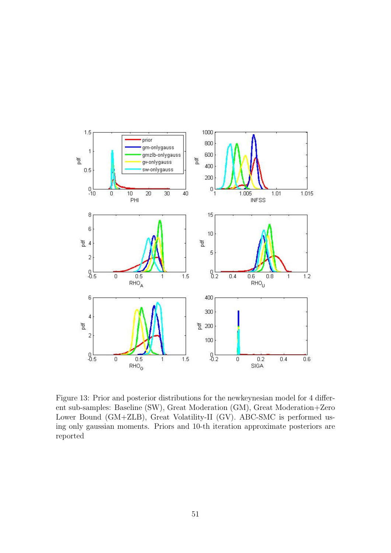

Figure 13: Prior and posterior distributions for the newkeynesian model for 4 different sub-samples: Baseline (SW), Great Moderation (GM), Great Moderation+Zero Lower Bound (GM+ZLB), Great Volatility-II (GV). ABC-SMC is performed using only gaussian moments. Priors and 10-th iteration approximate posteriors are reported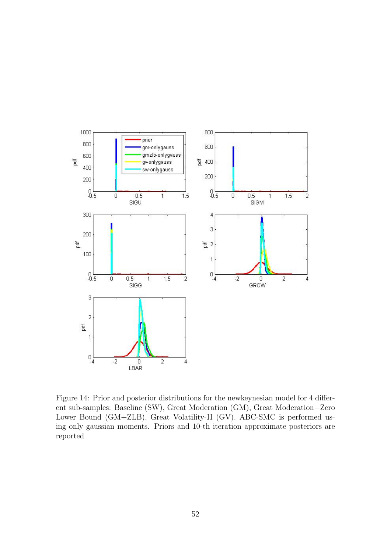

Figure 14: Prior and posterior distributions for the newkeynesian model for 4 different sub-samples: Baseline (SW), Great Moderation (GM), Great Moderation+Zero Lower Bound (GM+ZLB), Great Volatility-II (GV). ABC-SMC is performed using only gaussian moments. Priors and 10-th iteration approximate posteriors are reported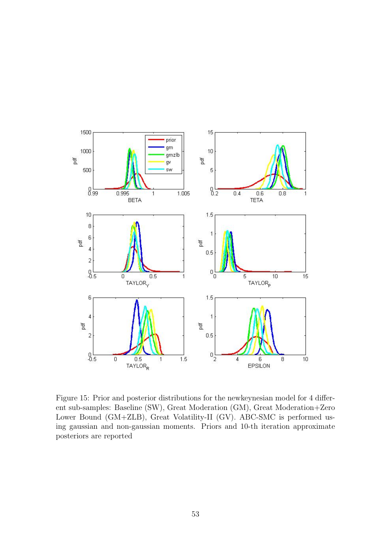

Figure 15: Prior and posterior distributions for the newkeynesian model for 4 different sub-samples: Baseline (SW), Great Moderation (GM), Great Moderation+Zero Lower Bound (GM+ZLB), Great Volatility-II (GV). ABC-SMC is performed using gaussian and non-gaussian moments. Priors and 10-th iteration approximate posteriors are reported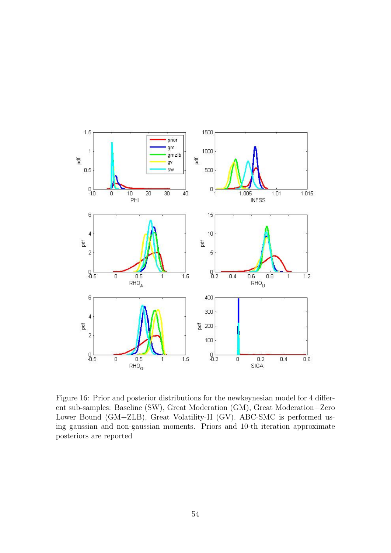

Figure 16: Prior and posterior distributions for the newkeynesian model for 4 different sub-samples: Baseline (SW), Great Moderation (GM), Great Moderation+Zero Lower Bound (GM+ZLB), Great Volatility-II (GV). ABC-SMC is performed using gaussian and non-gaussian moments. Priors and 10-th iteration approximate posteriors are reported